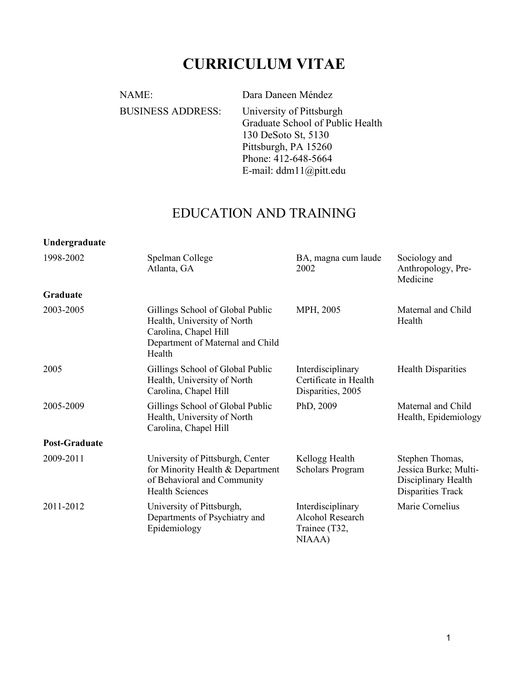# **CURRICULUM VITAE**

NAME: Dara Daneen Méndez BUSINESS ADDRESS: University of Pittsburgh Graduate School of Public Health 130 DeSoto St, 5130 Pittsburgh, PA 15260 Phone: 412-648-5664 E-mail: ddm11@pitt.edu

## EDUCATION AND TRAINING

#### **Undergraduate**

| 1998-2002            | Spelman College<br>Atlanta, GA                                                                                                         | BA, magna cum laude<br>2002                                      | Sociology and<br>Anthropology, Pre-<br>Medicine                                      |  |
|----------------------|----------------------------------------------------------------------------------------------------------------------------------------|------------------------------------------------------------------|--------------------------------------------------------------------------------------|--|
| <b>Graduate</b>      |                                                                                                                                        |                                                                  |                                                                                      |  |
| 2003-2005            | Gillings School of Global Public<br>Health, University of North<br>Carolina, Chapel Hill<br>Department of Maternal and Child<br>Health | MPH, 2005                                                        | Maternal and Child<br>Health                                                         |  |
| 2005                 | Gillings School of Global Public<br>Health, University of North<br>Carolina, Chapel Hill                                               | Interdisciplinary<br>Certificate in Health<br>Disparities, 2005  | <b>Health Disparities</b>                                                            |  |
| 2005-2009            | Gillings School of Global Public<br>Health, University of North<br>Carolina, Chapel Hill                                               | PhD, 2009                                                        | Maternal and Child<br>Health, Epidemiology                                           |  |
| <b>Post-Graduate</b> |                                                                                                                                        |                                                                  |                                                                                      |  |
| 2009-2011            | University of Pittsburgh, Center<br>for Minority Health & Department<br>of Behavioral and Community<br><b>Health Sciences</b>          | Kellogg Health<br>Scholars Program                               | Stephen Thomas,<br>Jessica Burke; Multi-<br>Disciplinary Health<br>Disparities Track |  |
| 2011-2012            | University of Pittsburgh,<br>Departments of Psychiatry and<br>Epidemiology                                                             | Interdisciplinary<br>Alcohol Research<br>Trainee (T32,<br>NIAAA) | Marie Cornelius                                                                      |  |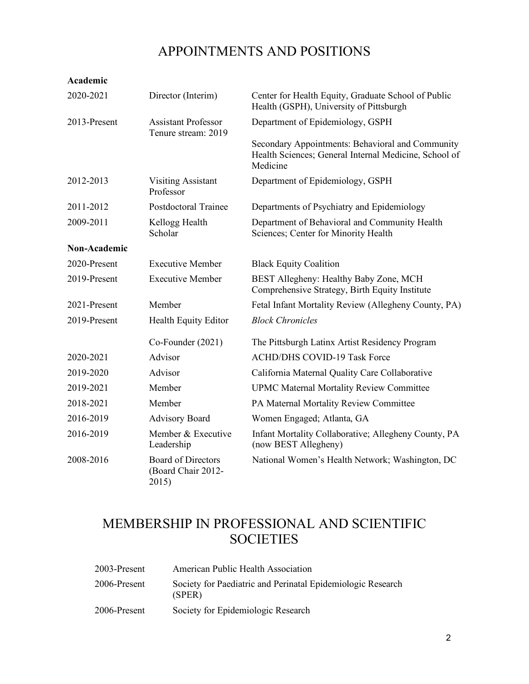# APPOINTMENTS AND POSITIONS

#### **Academic**

| 2020-2021           | Director (Interim)                                       | Center for Health Equity, Graduate School of Public<br>Health (GSPH), University of Pittsburgh                        |
|---------------------|----------------------------------------------------------|-----------------------------------------------------------------------------------------------------------------------|
| 2013-Present        | <b>Assistant Professor</b><br>Tenure stream: 2019        | Department of Epidemiology, GSPH                                                                                      |
|                     |                                                          | Secondary Appointments: Behavioral and Community<br>Health Sciences; General Internal Medicine, School of<br>Medicine |
| 2012-2013           | <b>Visiting Assistant</b><br>Professor                   | Department of Epidemiology, GSPH                                                                                      |
| 2011-2012           | <b>Postdoctoral Trainee</b>                              | Departments of Psychiatry and Epidemiology                                                                            |
| 2009-2011           | Kellogg Health<br>Scholar                                | Department of Behavioral and Community Health<br>Sciences; Center for Minority Health                                 |
| <b>Non-Academic</b> |                                                          |                                                                                                                       |
| 2020-Present        | <b>Executive Member</b>                                  | <b>Black Equity Coalition</b>                                                                                         |
| 2019-Present        | <b>Executive Member</b>                                  | BEST Allegheny: Healthy Baby Zone, MCH<br>Comprehensive Strategy, Birth Equity Institute                              |
| 2021-Present        | Member                                                   | Fetal Infant Mortality Review (Allegheny County, PA)                                                                  |
| 2019-Present        | Health Equity Editor                                     | <b>Block Chronicles</b>                                                                                               |
|                     | Co-Founder (2021)                                        | The Pittsburgh Latinx Artist Residency Program                                                                        |
| 2020-2021           | Advisor                                                  | <b>ACHD/DHS COVID-19 Task Force</b>                                                                                   |
| 2019-2020           | Advisor                                                  | California Maternal Quality Care Collaborative                                                                        |
| 2019-2021           | Member                                                   | <b>UPMC Maternal Mortality Review Committee</b>                                                                       |
| 2018-2021           | Member                                                   | PA Maternal Mortality Review Committee                                                                                |
| 2016-2019           | <b>Advisory Board</b>                                    | Women Engaged; Atlanta, GA                                                                                            |
| 2016-2019           | Member & Executive<br>Leadership                         | Infant Mortality Collaborative; Allegheny County, PA<br>(now BEST Allegheny)                                          |
| 2008-2016           | <b>Board of Directors</b><br>(Board Chair 2012-<br>2015) | National Women's Health Network; Washington, DC                                                                       |

# MEMBERSHIP IN PROFESSIONAL AND SCIENTIFIC SOCIETIES

| 2003-Present | American Public Health Association                                    |
|--------------|-----------------------------------------------------------------------|
| 2006-Present | Society for Paediatric and Perinatal Epidemiologic Research<br>(SPER) |
| 2006-Present | Society for Epidemiologic Research                                    |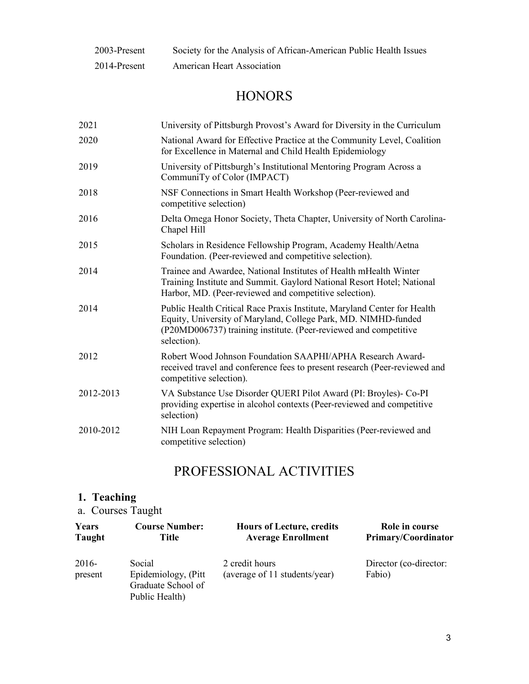| 2003-Present | Society for the Analysis of African-American Public Health Issues |
|--------------|-------------------------------------------------------------------|
| 2014-Present | <b>American Heart Association</b>                                 |

# **HONORS**

| 2021      | University of Pittsburgh Provost's Award for Diversity in the Curriculum                                                                                                                                                      |
|-----------|-------------------------------------------------------------------------------------------------------------------------------------------------------------------------------------------------------------------------------|
| 2020      | National Award for Effective Practice at the Community Level, Coalition<br>for Excellence in Maternal and Child Health Epidemiology                                                                                           |
| 2019      | University of Pittsburgh's Institutional Mentoring Program Across a<br>CommuniTy of Color (IMPACT)                                                                                                                            |
| 2018      | NSF Connections in Smart Health Workshop (Peer-reviewed and<br>competitive selection)                                                                                                                                         |
| 2016      | Delta Omega Honor Society, Theta Chapter, University of North Carolina-<br>Chapel Hill                                                                                                                                        |
| 2015      | Scholars in Residence Fellowship Program, Academy Health/Aetna<br>Foundation. (Peer-reviewed and competitive selection).                                                                                                      |
| 2014      | Trainee and Awardee, National Institutes of Health mHealth Winter<br>Training Institute and Summit. Gaylord National Resort Hotel; National<br>Harbor, MD. (Peer-reviewed and competitive selection).                         |
| 2014      | Public Health Critical Race Praxis Institute, Maryland Center for Health<br>Equity, University of Maryland, College Park, MD. NIMHD-funded<br>(P20MD006737) training institute. (Peer-reviewed and competitive<br>selection). |
| 2012      | Robert Wood Johnson Foundation SAAPHI/APHA Research Award-<br>received travel and conference fees to present research (Peer-reviewed and<br>competitive selection).                                                           |
| 2012-2013 | VA Substance Use Disorder QUERI Pilot Award (PI: Broyles)- Co-PI<br>providing expertise in alcohol contexts (Peer-reviewed and competitive<br>selection)                                                                      |
| 2010-2012 | NIH Loan Repayment Program: Health Disparities (Peer-reviewed and<br>competitive selection)                                                                                                                                   |

# PROFESSIONAL ACTIVITIES

### **1. Teaching**

a. Courses Taught

| Years              | <b>Course Number:</b>                                                  | <b>Hours of Lecture, credits</b>                | Role in course                   |
|--------------------|------------------------------------------------------------------------|-------------------------------------------------|----------------------------------|
| Taught             | Title                                                                  | <b>Average Enrollment</b>                       | <b>Primary/Coordinator</b>       |
| $2016-$<br>present | Social<br>Epidemiology, (Pitt)<br>Graduate School of<br>Public Health) | 2 credit hours<br>(average of 11 students/year) | Director (co-director:<br>Fabio) |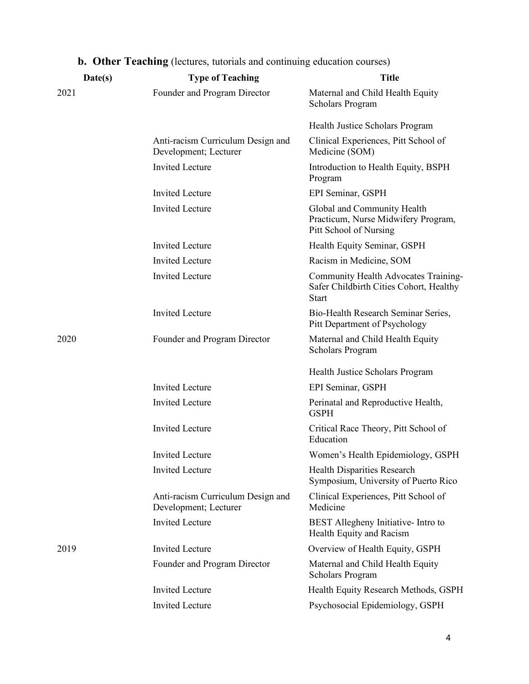| Date(s) | <b>Type of Teaching</b>                                    | <b>Title</b>                                                                                    |
|---------|------------------------------------------------------------|-------------------------------------------------------------------------------------------------|
| 2021    | Founder and Program Director                               | Maternal and Child Health Equity<br><b>Scholars Program</b>                                     |
|         |                                                            | Health Justice Scholars Program                                                                 |
|         | Anti-racism Curriculum Design and<br>Development; Lecturer | Clinical Experiences, Pitt School of<br>Medicine (SOM)                                          |
|         | <b>Invited Lecture</b>                                     | Introduction to Health Equity, BSPH<br>Program                                                  |
|         | <b>Invited Lecture</b>                                     | EPI Seminar, GSPH                                                                               |
|         | <b>Invited Lecture</b>                                     | Global and Community Health<br>Practicum, Nurse Midwifery Program,<br>Pitt School of Nursing    |
|         | <b>Invited Lecture</b>                                     | Health Equity Seminar, GSPH                                                                     |
|         | <b>Invited Lecture</b>                                     | Racism in Medicine, SOM                                                                         |
|         | <b>Invited Lecture</b>                                     | Community Health Advocates Training-<br>Safer Childbirth Cities Cohort, Healthy<br><b>Start</b> |
|         | <b>Invited Lecture</b>                                     | Bio-Health Research Seminar Series,<br>Pitt Department of Psychology                            |
| 2020    | Founder and Program Director                               | Maternal and Child Health Equity<br><b>Scholars Program</b>                                     |
|         |                                                            | Health Justice Scholars Program                                                                 |
|         | <b>Invited Lecture</b>                                     | EPI Seminar, GSPH                                                                               |
|         | <b>Invited Lecture</b>                                     | Perinatal and Reproductive Health,<br><b>GSPH</b>                                               |
|         | <b>Invited Lecture</b>                                     | Critical Race Theory, Pitt School of<br>Education                                               |
|         | <b>Invited Lecture</b>                                     | Women's Health Epidemiology, GSPH                                                               |
|         | <b>Invited Lecture</b>                                     | Health Disparities Research<br>Symposium, University of Puerto Rico                             |
|         | Anti-racism Curriculum Design and<br>Development; Lecturer | Clinical Experiences, Pitt School of<br>Medicine                                                |
|         | <b>Invited Lecture</b>                                     | BEST Allegheny Initiative- Intro to<br>Health Equity and Racism                                 |
| 2019    | <b>Invited Lecture</b>                                     | Overview of Health Equity, GSPH                                                                 |
|         | Founder and Program Director                               | Maternal and Child Health Equity<br><b>Scholars Program</b>                                     |
|         | <b>Invited Lecture</b>                                     | Health Equity Research Methods, GSPH                                                            |
|         | <b>Invited Lecture</b>                                     | Psychosocial Epidemiology, GSPH                                                                 |

## **b. Other Teaching** (lectures, tutorials and continuing education courses)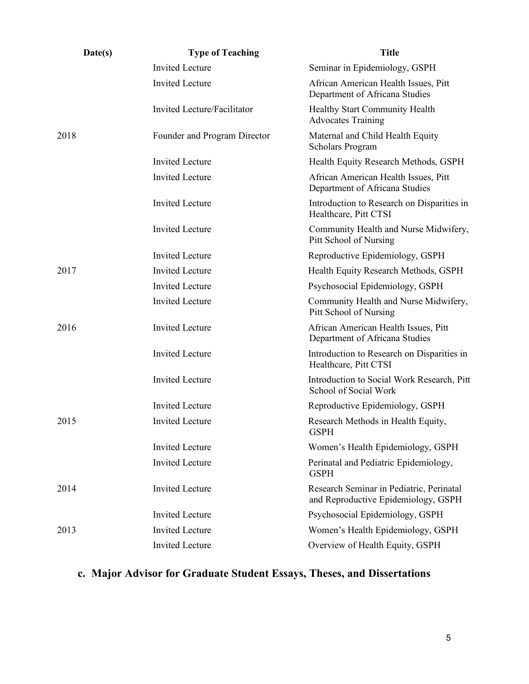| Date(s) | <b>Type of Teaching</b>      | <b>Title</b>                                                                    |
|---------|------------------------------|---------------------------------------------------------------------------------|
|         | <b>Invited Lecture</b>       | Seminar in Epidemiology, GSPH                                                   |
|         | <b>Invited Lecture</b>       | African American Health Issues, Pitt<br>Department of Africana Studies          |
|         | Invited Lecture/Facilitator  | Healthy Start Community Health<br><b>Advocates Training</b>                     |
| 2018    | Founder and Program Director | Maternal and Child Health Equity<br><b>Scholars Program</b>                     |
|         | <b>Invited Lecture</b>       | Health Equity Research Methods, GSPH                                            |
|         | <b>Invited Lecture</b>       | African American Health Issues, Pitt<br>Department of Africana Studies          |
|         | <b>Invited Lecture</b>       | Introduction to Research on Disparities in<br>Healthcare, Pitt CTSI             |
|         | <b>Invited Lecture</b>       | Community Health and Nurse Midwifery,<br>Pitt School of Nursing                 |
|         | <b>Invited Lecture</b>       | Reproductive Epidemiology, GSPH                                                 |
| 2017    | <b>Invited Lecture</b>       | Health Equity Research Methods, GSPH                                            |
|         | <b>Invited Lecture</b>       | Psychosocial Epidemiology, GSPH                                                 |
|         | <b>Invited Lecture</b>       | Community Health and Nurse Midwifery,<br>Pitt School of Nursing                 |
| 2016    | <b>Invited Lecture</b>       | African American Health Issues, Pitt<br>Department of Africana Studies          |
|         | <b>Invited Lecture</b>       | Introduction to Research on Disparities in<br>Healthcare, Pitt CTSI             |
|         | <b>Invited Lecture</b>       | Introduction to Social Work Research, Pitt<br>School of Social Work             |
|         | <b>Invited Lecture</b>       | Reproductive Epidemiology, GSPH                                                 |
| 2015    | <b>Invited Lecture</b>       | Research Methods in Health Equity,<br><b>GSPH</b>                               |
|         | <b>Invited Lecture</b>       | Women's Health Epidemiology, GSPH                                               |
|         | <b>Invited Lecture</b>       | Perinatal and Pediatric Epidemiology,<br><b>GSPH</b>                            |
| 2014    | <b>Invited Lecture</b>       | Research Seminar in Pediatric, Perinatal<br>and Reproductive Epidemiology, GSPH |
|         | <b>Invited Lecture</b>       | Psychosocial Epidemiology, GSPH                                                 |
| 2013    | <b>Invited Lecture</b>       | Women's Health Epidemiology, GSPH                                               |
|         | <b>Invited Lecture</b>       | Overview of Health Equity, GSPH                                                 |

# **c. Major Advisor for Graduate Student Essays, Theses, and Dissertations**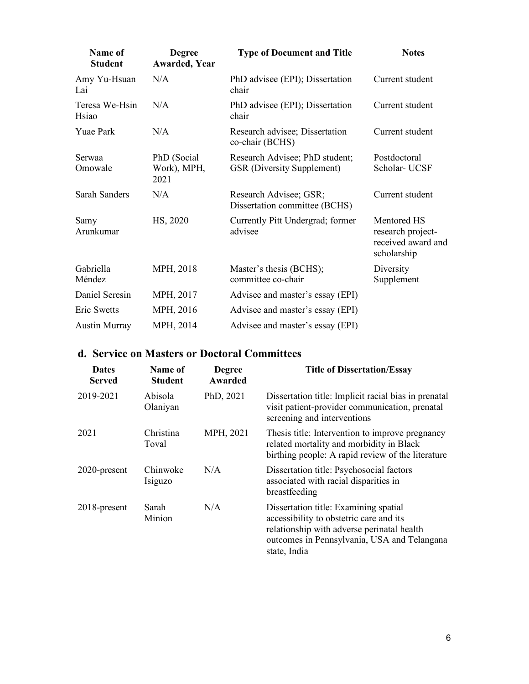| Name of<br><b>Student</b> | <b>Degree</b><br><b>Awarded, Year</b> | <b>Type of Document and Title</b>                                   | <b>Notes</b>                                                          |
|---------------------------|---------------------------------------|---------------------------------------------------------------------|-----------------------------------------------------------------------|
| Amy Yu-Hsuan<br>Lai       | N/A                                   | PhD advisee (EPI); Dissertation<br>chair                            | Current student                                                       |
| Teresa We-Hsin<br>Hsiao   | N/A                                   | PhD advisee (EPI); Dissertation<br>chair                            | Current student                                                       |
| <b>Yuae Park</b>          | N/A                                   | Research advisee; Dissertation<br>co-chair (BCHS)                   | Current student                                                       |
| <b>Serwaa</b><br>Omowale  | PhD (Social<br>Work), MPH,<br>2021    | Research Advisee; PhD student;<br><b>GSR</b> (Diversity Supplement) | Postdoctoral<br>Scholar- UCSF                                         |
| <b>Sarah Sanders</b>      | N/A                                   | Research Advisee; GSR;<br>Dissertation committee (BCHS)             | Current student                                                       |
| Samy<br>Arunkumar         | HS, 2020                              | Currently Pitt Undergrad; former<br>advisee                         | Mentored HS<br>research project-<br>received award and<br>scholarship |
| Gabriella<br>Méndez       | MPH, 2018                             | Master's thesis (BCHS);<br>committee co-chair                       | Diversity<br>Supplement                                               |
| Daniel Seresin            | MPH, 2017                             | Advisee and master's essay (EPI)                                    |                                                                       |
| Eric Swetts               | MPH, 2016                             | Advisee and master's essay (EPI)                                    |                                                                       |
| <b>Austin Murray</b>      | MPH, 2014                             | Advisee and master's essay (EPI)                                    |                                                                       |

### **d. Service on Masters or Doctoral Committees**

| <b>Dates</b><br>Served | Name of<br><b>Student</b> | <b>Degree</b><br>Awarded | <b>Title of Dissertation/Essay</b>                                                                                                                                                            |
|------------------------|---------------------------|--------------------------|-----------------------------------------------------------------------------------------------------------------------------------------------------------------------------------------------|
| 2019-2021              | Abisola<br>Olaniyan       | PhD, 2021                | Dissertation title: Implicit racial bias in prenatal<br>visit patient-provider communication, prenatal<br>screening and interventions                                                         |
| 2021                   | Christina<br>Toval        | MPH, 2021                | Thesis title: Intervention to improve pregnancy<br>related mortality and morbidity in Black<br>birthing people: A rapid review of the literature                                              |
| 2020-present           | Chinwoke<br>Isiguzo       | N/A                      | Dissertation title: Psychosocial factors<br>associated with racial disparities in<br>breastfeeding                                                                                            |
| $2018$ -present        | Sarah<br>Minion           | N/A                      | Dissertation title: Examining spatial<br>accessibility to obstetric care and its<br>relationship with adverse perinatal health<br>outcomes in Pennsylvania, USA and Telangana<br>state, India |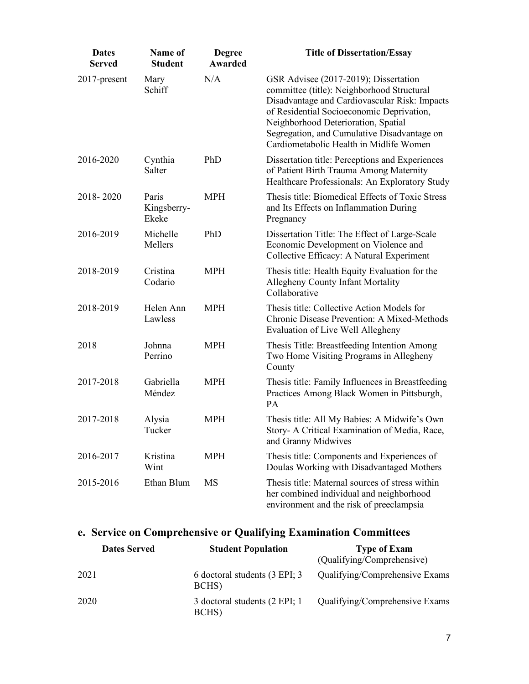| <b>Dates</b><br><b>Served</b> | Name of<br><b>Student</b>     | <b>Degree</b><br><b>Awarded</b> | <b>Title of Dissertation/Essay</b>                                                                                                                                                                                                                                                                                 |
|-------------------------------|-------------------------------|---------------------------------|--------------------------------------------------------------------------------------------------------------------------------------------------------------------------------------------------------------------------------------------------------------------------------------------------------------------|
| 2017-present                  | Mary<br>Schiff                | N/A                             | GSR Advisee (2017-2019); Dissertation<br>committee (title): Neighborhood Structural<br>Disadvantage and Cardiovascular Risk: Impacts<br>of Residential Socioeconomic Deprivation,<br>Neighborhood Deterioration, Spatial<br>Segregation, and Cumulative Disadvantage on<br>Cardiometabolic Health in Midlife Women |
| 2016-2020                     | Cynthia<br>Salter             | PhD                             | Dissertation title: Perceptions and Experiences<br>of Patient Birth Trauma Among Maternity<br>Healthcare Professionals: An Exploratory Study                                                                                                                                                                       |
| 2018-2020                     | Paris<br>Kingsberry-<br>Ekeke | <b>MPH</b>                      | Thesis title: Biomedical Effects of Toxic Stress<br>and Its Effects on Inflammation During<br>Pregnancy                                                                                                                                                                                                            |
| 2016-2019                     | Michelle<br>Mellers           | PhD                             | Dissertation Title: The Effect of Large-Scale<br>Economic Development on Violence and<br>Collective Efficacy: A Natural Experiment                                                                                                                                                                                 |
| 2018-2019                     | Cristina<br>Codario           | <b>MPH</b>                      | Thesis title: Health Equity Evaluation for the<br>Allegheny County Infant Mortality<br>Collaborative                                                                                                                                                                                                               |
| 2018-2019                     | Helen Ann<br>Lawless          | <b>MPH</b>                      | Thesis title: Collective Action Models for<br>Chronic Disease Prevention: A Mixed-Methods<br>Evaluation of Live Well Allegheny                                                                                                                                                                                     |
| 2018                          | Johnna<br>Perrino             | <b>MPH</b>                      | Thesis Title: Breastfeeding Intention Among<br>Two Home Visiting Programs in Allegheny<br>County                                                                                                                                                                                                                   |
| 2017-2018                     | Gabriella<br>Méndez           | MPH                             | Thesis title: Family Influences in Breastfeeding<br>Practices Among Black Women in Pittsburgh,<br><b>PA</b>                                                                                                                                                                                                        |
| 2017-2018                     | Alysia<br>Tucker              | <b>MPH</b>                      | Thesis title: All My Babies: A Midwife's Own<br>Story- A Critical Examination of Media, Race,<br>and Granny Midwives                                                                                                                                                                                               |
| 2016-2017                     | Kristina<br>Wint              | <b>MPH</b>                      | Thesis title: Components and Experiences of<br>Doulas Working with Disadvantaged Mothers                                                                                                                                                                                                                           |
| 2015-2016                     | Ethan Blum                    | MS                              | Thesis title: Maternal sources of stress within<br>her combined individual and neighborhood<br>environment and the risk of preeclampsia                                                                                                                                                                            |

## **e. Service on Comprehensive or Qualifying Examination Committees**

| <b>Dates Served</b> | <b>Student Population</b>              | <b>Type of Exam</b><br>(Qualifying/Comprehensive) |
|---------------------|----------------------------------------|---------------------------------------------------|
| 2021                | 6 doctoral students (3 EPI; 3<br>BCHS) | Qualifying/Comprehensive Exams                    |
| 2020                | 3 doctoral students (2 EPI; 1<br>BCHS) | Qualifying/Comprehensive Exams                    |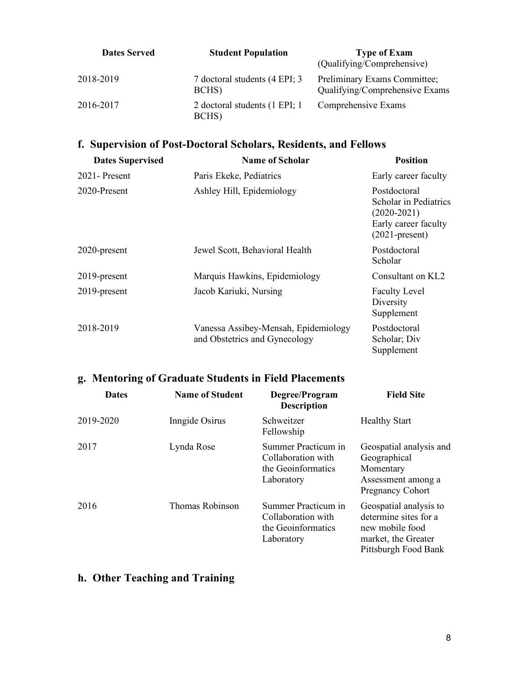| <b>Dates Served</b> | <b>Student Population</b>              | <b>Type of Exam</b><br>(Qualifying/Comprehensive)              |
|---------------------|----------------------------------------|----------------------------------------------------------------|
| 2018-2019           | 7 doctoral students (4 EPI; 3<br>BCHS) | Preliminary Exams Committee;<br>Qualifying/Comprehensive Exams |
| 2016-2017           | 2 doctoral students (1 EPI; 1<br>BCHS) | Comprehensive Exams                                            |

### **f. Supervision of Post-Doctoral Scholars, Residents, and Fellows**

| <b>Dates Supervised</b> | Name of Scholar                                                       | <b>Position</b>                                                                                     |
|-------------------------|-----------------------------------------------------------------------|-----------------------------------------------------------------------------------------------------|
| $2021 -$ Present        | Paris Ekeke, Pediatrics                                               | Early career faculty                                                                                |
| 2020-Present            | Ashley Hill, Epidemiology                                             | Postdoctoral<br>Scholar in Pediatrics<br>$(2020-2021)$<br>Early career faculty<br>$(2021$ -present) |
| 2020-present            | Jewel Scott, Behavioral Health                                        | Postdoctoral<br>Scholar                                                                             |
| $2019$ -present         | Marquis Hawkins, Epidemiology                                         | Consultant on KL2                                                                                   |
| 2019-present            | Jacob Kariuki, Nursing                                                | <b>Faculty Level</b><br>Diversity<br>Supplement                                                     |
| 2018-2019               | Vanessa Assibey-Mensah, Epidemiology<br>and Obstetrics and Gynecology | Postdoctoral<br>Scholar; Div<br>Supplement                                                          |

## **g. Mentoring of Graduate Students in Field Placements**

| <b>Dates</b> | <b>Name of Student</b> | Degree/Program<br><b>Description</b>                                          | <b>Field Site</b>                                                                                                 |
|--------------|------------------------|-------------------------------------------------------------------------------|-------------------------------------------------------------------------------------------------------------------|
| 2019-2020    | Inngide Osirus         | Schweitzer<br>Fellowship                                                      | <b>Healthy Start</b>                                                                                              |
| 2017         | Lynda Rose             | Summer Practicum in<br>Collaboration with<br>the Geoinformatics<br>Laboratory | Geospatial analysis and<br>Geographical<br>Momentary<br>Assessment among a<br><b>Pregnancy Cohort</b>             |
| 2016         | Thomas Robinson        | Summer Practicum in<br>Collaboration with<br>the Geoinformatics<br>Laboratory | Geospatial analysis to<br>determine sites for a<br>new mobile food<br>market, the Greater<br>Pittsburgh Food Bank |

## **h. Other Teaching and Training**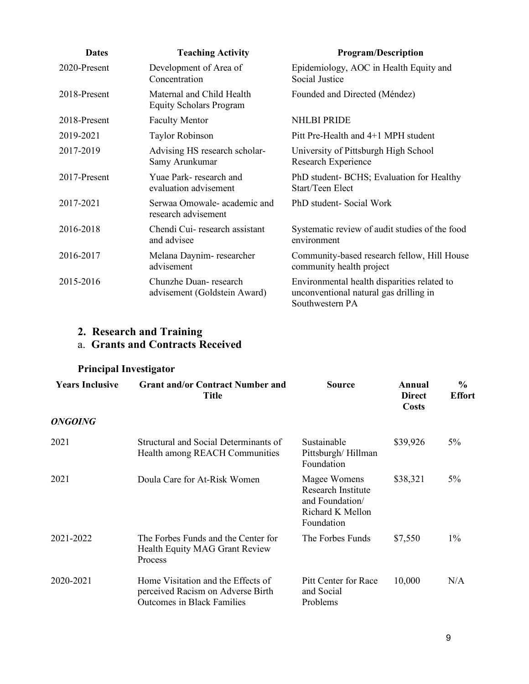| <b>Dates</b> | <b>Teaching Activity</b>                                    | <b>Program/Description</b>                                                                               |
|--------------|-------------------------------------------------------------|----------------------------------------------------------------------------------------------------------|
| 2020-Present | Development of Area of<br>Concentration                     | Epidemiology, AOC in Health Equity and<br>Social Justice                                                 |
| 2018-Present | Maternal and Child Health<br><b>Equity Scholars Program</b> | Founded and Directed (Méndez)                                                                            |
| 2018-Present | <b>Faculty Mentor</b>                                       | <b>NHLBI PRIDE</b>                                                                                       |
| 2019-2021    | Taylor Robinson                                             | Pitt Pre-Health and 4+1 MPH student                                                                      |
| 2017-2019    | Advising HS research scholar-<br>Samy Arunkumar             | University of Pittsburgh High School<br>Research Experience                                              |
| 2017-Present | Yuae Park-research and<br>evaluation advisement             | PhD student- BCHS; Evaluation for Healthy<br>Start/Teen Elect                                            |
| 2017-2021    | Serwaa Omowale- academic and<br>research advisement         | PhD student-Social Work                                                                                  |
| 2016-2018    | Chendi Cui- research assistant<br>and advisee               | Systematic review of audit studies of the food<br>environment                                            |
| 2016-2017    | Melana Daynim-researcher<br>advisement                      | Community-based research fellow, Hill House<br>community health project                                  |
| 2015-2016    | Chunzhe Duan-research<br>advisement (Goldstein Award)       | Environmental health disparities related to<br>unconventional natural gas drilling in<br>Southwestern PA |

#### **2. Research and Training**

#### a. **Grants and Contracts Received**

### **Principal Investigator**

| <b>Years Inclusive</b> | <b>Grant and/or Contract Number and</b><br>Title                                                             | Source                                                                                  | Annual<br><b>Direct</b><br><b>Costs</b> | $\frac{0}{0}$<br><b>Effort</b> |
|------------------------|--------------------------------------------------------------------------------------------------------------|-----------------------------------------------------------------------------------------|-----------------------------------------|--------------------------------|
| <b>ONGOING</b>         |                                                                                                              |                                                                                         |                                         |                                |
| 2021                   | Structural and Social Determinants of<br>Health among REACH Communities                                      | Sustainable<br>Pittsburgh/Hillman<br>Foundation                                         | \$39,926                                | $5\%$                          |
| 2021                   | Doula Care for At-Risk Women                                                                                 | Magee Womens<br>Research Institute<br>and Foundation/<br>Richard K Mellon<br>Foundation | \$38,321                                | $5\%$                          |
| 2021-2022              | The Forbes Funds and the Center for<br>Health Equity MAG Grant Review<br>Process                             | The Forbes Funds                                                                        | \$7,550                                 | $1\%$                          |
| 2020-2021              | Home Visitation and the Effects of<br>perceived Racism on Adverse Birth<br><b>Outcomes in Black Families</b> | Pitt Center for Race<br>and Social<br>Problems                                          | 10,000                                  | N/A                            |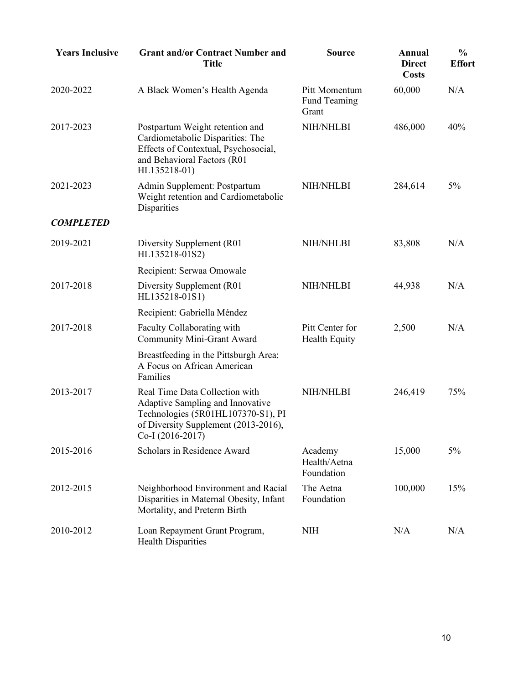| <b>Years Inclusive</b> | <b>Grant and/or Contract Number and</b><br><b>Title</b>                                                                                                              | <b>Source</b>                                 | Annual<br><b>Direct</b><br><b>Costs</b> | $\frac{0}{0}$<br><b>Effort</b> |
|------------------------|----------------------------------------------------------------------------------------------------------------------------------------------------------------------|-----------------------------------------------|-----------------------------------------|--------------------------------|
| 2020-2022              | A Black Women's Health Agenda                                                                                                                                        | Pitt Momentum<br><b>Fund Teaming</b><br>Grant | 60,000                                  | N/A                            |
| 2017-2023              | Postpartum Weight retention and<br>Cardiometabolic Disparities: The<br>Effects of Contextual, Psychosocial,<br>and Behavioral Factors (R01<br>HL135218-01)           | NIH/NHLBI                                     | 486,000                                 | 40%                            |
| 2021-2023              | Admin Supplement: Postpartum<br>Weight retention and Cardiometabolic<br>Disparities                                                                                  | NIH/NHLBI                                     | 284,614                                 | 5%                             |
| <b>COMPLETED</b>       |                                                                                                                                                                      |                                               |                                         |                                |
| 2019-2021              | Diversity Supplement (R01)<br>HL135218-01S2)                                                                                                                         | NIH/NHLBI                                     | 83,808                                  | N/A                            |
|                        | Recipient: Serwaa Omowale                                                                                                                                            |                                               |                                         |                                |
| 2017-2018              | Diversity Supplement (R01<br>HL135218-01S1)                                                                                                                          | NIH/NHLBI                                     | 44,938                                  | N/A                            |
|                        | Recipient: Gabriella Méndez                                                                                                                                          |                                               |                                         |                                |
| 2017-2018              | Faculty Collaborating with<br>Community Mini-Grant Award                                                                                                             | Pitt Center for<br>Health Equity              | 2,500                                   | N/A                            |
|                        | Breastfeeding in the Pittsburgh Area:<br>A Focus on African American<br>Families                                                                                     |                                               |                                         |                                |
| 2013-2017              | Real Time Data Collection with<br>Adaptive Sampling and Innovative<br>Technologies (5R01HL107370-S1), PI<br>of Diversity Supplement (2013-2016),<br>Co-I (2016-2017) | <b>NIH/NHLBI</b>                              | 246,419                                 | 75%                            |
| 2015-2016              | Scholars in Residence Award                                                                                                                                          | Academy<br>Health/Aetna<br>Foundation         | 15,000                                  | 5%                             |
| 2012-2015              | Neighborhood Environment and Racial<br>Disparities in Maternal Obesity, Infant<br>Mortality, and Preterm Birth                                                       | The Aetna<br>Foundation                       | 100,000                                 | 15%                            |
| 2010-2012              | Loan Repayment Grant Program,<br><b>Health Disparities</b>                                                                                                           | NIH                                           | N/A                                     | N/A                            |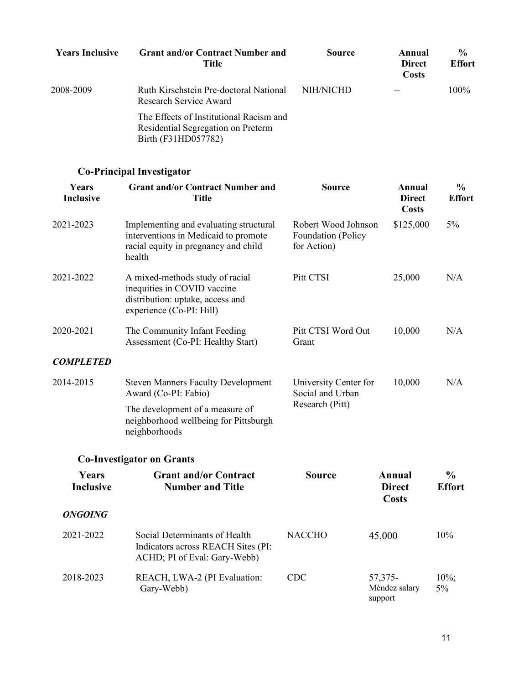| <b>Years Inclusive</b> | <b>Grant and/or Contract Number and</b><br>Title                                                     | Source    | Annual<br><b>Direct</b><br><b>Costs</b> | $\frac{6}{9}$<br><b>Effort</b> |
|------------------------|------------------------------------------------------------------------------------------------------|-----------|-----------------------------------------|--------------------------------|
| 2008-2009              | Ruth Kirschstein Pre-doctoral National<br>Research Service Award                                     | NIH/NICHD |                                         | $100\%$                        |
|                        | The Effects of Institutional Racism and<br>Residential Segregation on Preterm<br>Birth (F31HD057782) |           |                                         |                                |

## **Co-Principal Investigator**

| Years<br><b>Inclusive</b> | <b>Grant and/or Contract Number and</b><br><b>Title</b>                                                                          | <b>Source</b>                                            | <b>Annual</b><br><b>Direct</b><br><b>Costs</b> | $\frac{0}{0}$<br><b>Effort</b> |
|---------------------------|----------------------------------------------------------------------------------------------------------------------------------|----------------------------------------------------------|------------------------------------------------|--------------------------------|
| 2021-2023                 | Implementing and evaluating structural<br>interventions in Medicaid to promote<br>racial equity in pregnancy and child<br>health | Robert Wood Johnson<br>Foundation (Policy<br>for Action) | \$125,000                                      | $5\%$                          |
| 2021-2022                 | A mixed-methods study of racial<br>inequities in COVID vaccine<br>distribution: uptake, access and<br>experience (Co-PI: Hill)   | Pitt CTSI                                                | 25,000                                         | N/A                            |
| 2020-2021                 | The Community Infant Feeding<br>Assessment (Co-PI: Healthy Start)                                                                | Pitt CTSI Word Out<br>Grant                              | 10,000                                         | N/A                            |
| <b>COMPLETED</b>          |                                                                                                                                  |                                                          |                                                |                                |
| 2014-2015                 | <b>Steven Manners Faculty Development</b><br>Award (Co-PI: Fabio)                                                                | University Center for<br>Social and Urban                | 10,000                                         | N/A                            |
|                           | The development of a measure of<br>neighborhood wellbeing for Pittsburgh<br>neighborhoods                                        | Research (Pitt)                                          |                                                |                                |
|                           | <b>Co-Investigator on Grants</b>                                                                                                 |                                                          |                                                |                                |
| Years<br><b>Inclusive</b> | <b>Grant and/or Contract</b><br><b>Number and Title</b>                                                                          | <b>Source</b>                                            | Annual<br><b>Direct</b><br><b>Costs</b>        | $\frac{0}{0}$<br><b>Effort</b> |
| <b>ONGOING</b>            |                                                                                                                                  |                                                          |                                                |                                |
| 2021-2022                 | Social Determinants of Health<br>Indicators across REACH Sites (PI:<br>ACHD; PI of Eval: Gary-Webb)                              | <b>NACCHO</b>                                            | 45,000                                         | 10%                            |
| 2018-2023                 | REACH, LWA-2 (PI Evaluation:<br>Gary-Webb)                                                                                       | <b>CDC</b>                                               | 57,375-<br>Méndez salary<br>support            | $10\%;$<br>$5\%$               |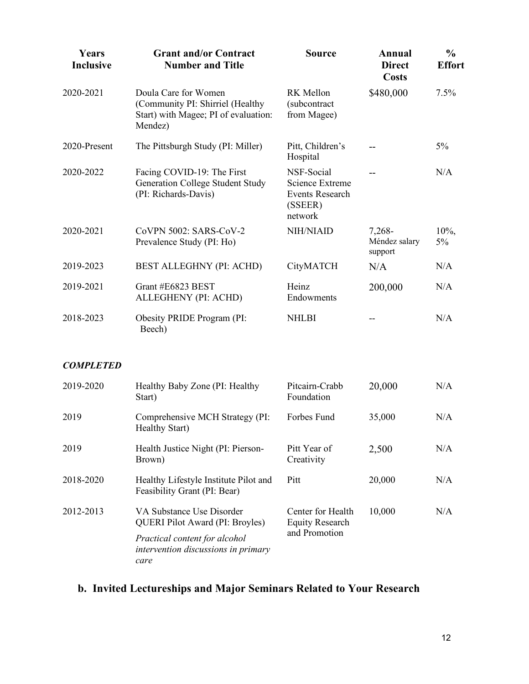| Years<br><b>Inclusive</b> | <b>Grant and/or Contract</b><br><b>Number and Title</b>                                                     | <b>Source</b>                                                                 | Annual<br><b>Direct</b><br><b>Costs</b> | $\frac{0}{0}$<br><b>Effort</b> |
|---------------------------|-------------------------------------------------------------------------------------------------------------|-------------------------------------------------------------------------------|-----------------------------------------|--------------------------------|
| 2020-2021                 | Doula Care for Women<br>(Community PI: Shirriel (Healthy<br>Start) with Magee; PI of evaluation:<br>Mendez) | RK Mellon<br>(subcontract<br>from Magee)                                      | \$480,000                               | 7.5%                           |
| 2020-Present              | The Pittsburgh Study (PI: Miller)                                                                           | Pitt, Children's<br>Hospital                                                  |                                         | $5\%$                          |
| 2020-2022                 | Facing COVID-19: The First<br><b>Generation College Student Study</b><br>(PI: Richards-Davis)               | NSF-Social<br>Science Extreme<br><b>Events Research</b><br>(SSEER)<br>network |                                         | N/A                            |
| 2020-2021                 | CoVPN 5002: SARS-CoV-2<br>Prevalence Study (PI: Ho)                                                         | NIH/NIAID                                                                     | 7,268-<br>Méndez salary<br>support      | 10%,<br>5%                     |
| 2019-2023                 | <b>BEST ALLEGHNY (PI: ACHD)</b>                                                                             | CityMATCH                                                                     | N/A                                     | N/A                            |
| 2019-2021                 | Grant #E6823 BEST<br>ALLEGHENY (PI: ACHD)                                                                   | Heinz<br>Endowments                                                           | 200,000                                 | N/A                            |
| 2018-2023                 | Obesity PRIDE Program (PI:<br>Beech)                                                                        | <b>NHLBI</b>                                                                  |                                         | N/A                            |
| <b>COMPLETED</b>          |                                                                                                             |                                                                               |                                         |                                |
| 2019-2020                 | Healthy Baby Zone (PI: Healthy<br>Start)                                                                    | Pitcairn-Crabb<br>Foundation                                                  | 20,000                                  | N/A                            |

Healthy Start) 2019 Health Justice Night (PI: Pierson-Brown) Pitt Year of **Creativity** 2,500 N/A 2018-2020 Healthy Lifestyle Institute Pilot and Feasibility Grant (PI: Bear) Pitt 20,000 N/A 2012-2013 VA Substance Use Disorder QUERI Pilot Award (PI: Broyles) *Practical content for alcohol intervention discussions in primary care* Center for Health Equity Research and Promotion 10,000 N/A

2019 Comprehensive MCH Strategy (PI:

### **b. Invited Lectureships and Major Seminars Related to Your Research**

Forbes Fund 35,000 N/A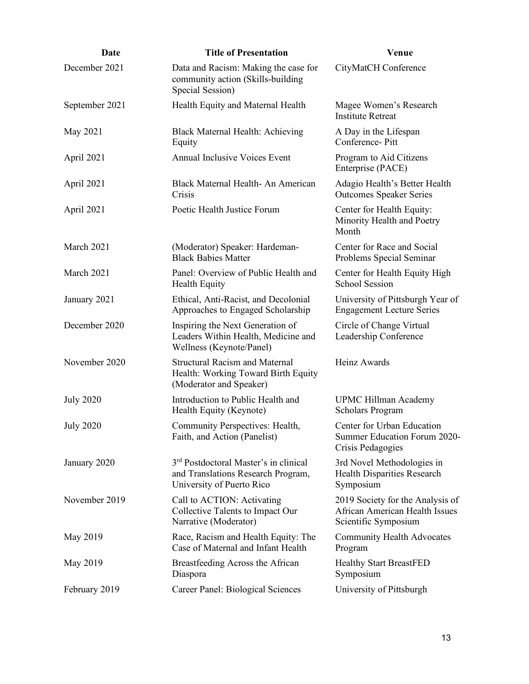| Date             | <b>Title of Presentation</b>                                                                                         | Venue                                                                                      |
|------------------|----------------------------------------------------------------------------------------------------------------------|--------------------------------------------------------------------------------------------|
| December 2021    | Data and Racism: Making the case for<br>community action (Skills-building<br>Special Session)                        | CityMatCH Conference                                                                       |
| September 2021   | Health Equity and Maternal Health                                                                                    | Magee Women's Research<br><b>Institute Retreat</b>                                         |
| May 2021         | Black Maternal Health: Achieving<br>Equity                                                                           | A Day in the Lifespan<br>Conference-Pitt                                                   |
| April 2021       | <b>Annual Inclusive Voices Event</b>                                                                                 | Program to Aid Citizens<br>Enterprise (PACE)                                               |
| April 2021       | Black Maternal Health-An American<br>Crisis                                                                          | Adagio Health's Better Health<br><b>Outcomes Speaker Series</b>                            |
| April 2021       | Poetic Health Justice Forum                                                                                          | Center for Health Equity:<br>Minority Health and Poetry<br>Month                           |
| March 2021       | (Moderator) Speaker: Hardeman-<br><b>Black Babies Matter</b>                                                         | Center for Race and Social<br>Problems Special Seminar                                     |
| March 2021       | Panel: Overview of Public Health and<br>Health Equity                                                                | Center for Health Equity High<br><b>School Session</b>                                     |
| January 2021     | Ethical, Anti-Racist, and Decolonial<br>Approaches to Engaged Scholarship                                            | University of Pittsburgh Year of<br><b>Engagement Lecture Series</b>                       |
| December 2020    | Inspiring the Next Generation of<br>Leaders Within Health, Medicine and<br>Wellness (Keynote/Panel)                  | Circle of Change Virtual<br>Leadership Conference                                          |
| November 2020    | <b>Structural Racism and Maternal</b><br>Health: Working Toward Birth Equity<br>(Moderator and Speaker)              | Heinz Awards                                                                               |
| <b>July 2020</b> | Introduction to Public Health and<br>Health Equity (Keynote)                                                         | <b>UPMC Hillman Academy</b><br>Scholars Program                                            |
| <b>July 2020</b> | Community Perspectives: Health,<br>Faith, and Action (Panelist)                                                      | Center for Urban Education<br>Summer Education Forum 2020-<br>Crisis Pedagogies            |
| January 2020     | 3 <sup>rd</sup> Postdoctoral Master's in clinical<br>and Translations Research Program,<br>University of Puerto Rico | 3rd Novel Methodologies in<br>Health Disparities Research<br>Symposium                     |
| November 2019    | Call to ACTION: Activating<br>Collective Talents to Impact Our<br>Narrative (Moderator)                              | 2019 Society for the Analysis of<br>African American Health Issues<br>Scientific Symposium |
| May 2019         | Race, Racism and Health Equity: The<br>Case of Maternal and Infant Health                                            | <b>Community Health Advocates</b><br>Program                                               |
| May 2019         | Breastfeeding Across the African<br>Diaspora                                                                         | <b>Healthy Start BreastFED</b><br>Symposium                                                |
| February 2019    | Career Panel: Biological Sciences                                                                                    | University of Pittsburgh                                                                   |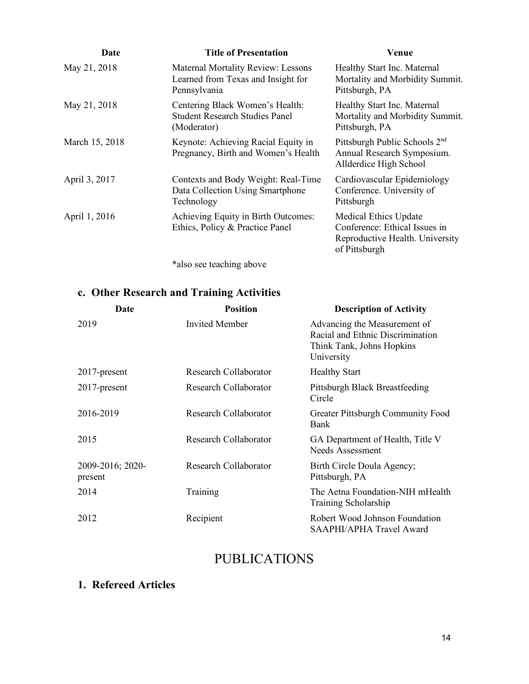| Date           | <b>Title of Presentation</b>                                                                    | Venue                                                                                                      |
|----------------|-------------------------------------------------------------------------------------------------|------------------------------------------------------------------------------------------------------------|
| May 21, 2018   | <b>Maternal Mortality Review: Lessons</b><br>Learned from Texas and Insight for<br>Pennsylvania | Healthy Start Inc. Maternal<br>Mortality and Morbidity Summit.<br>Pittsburgh, PA                           |
| May 21, 2018   | Centering Black Women's Health:<br><b>Student Research Studies Panel</b><br>(Moderator)         | Healthy Start Inc. Maternal<br>Mortality and Morbidity Summit.<br>Pittsburgh, PA                           |
| March 15, 2018 | Keynote: Achieving Racial Equity in<br>Pregnancy, Birth and Women's Health                      | Pittsburgh Public Schools 2 <sup>nd</sup><br>Annual Research Symposium.<br>Allderdice High School          |
| April 3, 2017  | Contexts and Body Weight: Real-Time<br>Data Collection Using Smartphone<br>Technology           | Cardiovascular Epidemiology<br>Conference. University of<br>Pittsburgh                                     |
| April 1, 2016  | Achieving Equity in Birth Outcomes:<br>Ethics, Policy & Practice Panel                          | Medical Ethics Update<br>Conference: Ethical Issues in<br>Reproductive Health. University<br>of Pittsburgh |

\*also see teaching above

# **c. Other Research and Training Activities**

| Date                        | <b>Position</b>       | <b>Description of Activity</b>                                                                              |
|-----------------------------|-----------------------|-------------------------------------------------------------------------------------------------------------|
| 2019                        | Invited Member        | Advancing the Measurement of<br>Racial and Ethnic Discrimination<br>Think Tank, Johns Hopkins<br>University |
| $2017$ -present             | Research Collaborator | <b>Healthy Start</b>                                                                                        |
| $2017$ -present             | Research Collaborator | Pittsburgh Black Breastfeeding<br>Circle                                                                    |
| 2016-2019                   | Research Collaborator | Greater Pittsburgh Community Food<br>Bank                                                                   |
| 2015                        | Research Collaborator | GA Department of Health, Title V<br>Needs Assessment                                                        |
| 2009-2016; 2020-<br>present | Research Collaborator | Birth Circle Doula Agency;<br>Pittsburgh, PA                                                                |
| 2014                        | Training              | The Aetna Foundation-NIH mHealth<br>Training Scholarship                                                    |
| 2012                        | Recipient             | Robert Wood Johnson Foundation<br>SAAPHI/APHA Travel Award                                                  |

# PUBLICATIONS

### **1. Refereed Articles**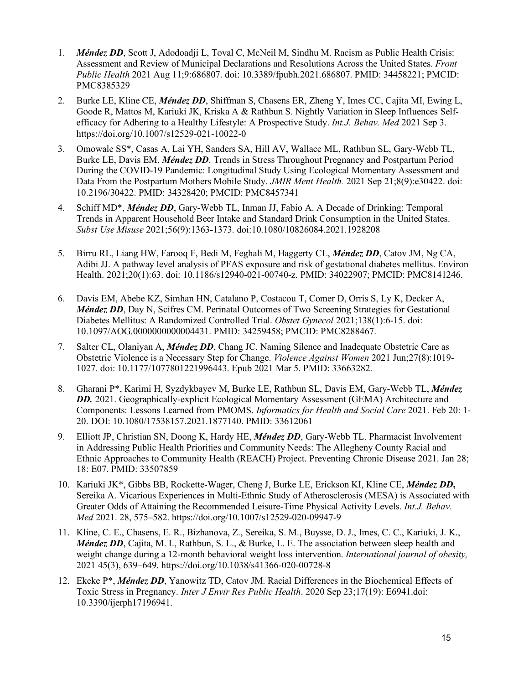- 1. *Méndez DD*, Scott J, Adodoadji L, Toval C, McNeil M, Sindhu M. Racism as Public Health Crisis: Assessment and Review of Municipal Declarations and Resolutions Across the United States. *Front Public Health* 2021 Aug 11;9:686807. doi: 10.3389/fpubh.2021.686807. PMID: 34458221; PMCID: PMC8385329
- 2. Burke LE, Kline CE, *Méndez DD*, Shiffman S, Chasens ER, Zheng Y, Imes CC, Cajita MI, Ewing L, Goode R, Mattos M, Kariuki JK, Kriska A & Rathbun S. Nightly Variation in Sleep Influences Selfefficacy for Adhering to a Healthy Lifestyle: A Prospective Study. *Int.J. Behav. Med* 2021 Sep 3. https://doi.org/10.1007/s12529-021-10022-0
- 3. Omowale SS\*, Casas A, Lai YH, Sanders SA, Hill AV, Wallace ML, Rathbun SL, Gary-Webb TL, Burke LE, Davis EM, *Méndez DD*. Trends in Stress Throughout Pregnancy and Postpartum Period During the COVID-19 Pandemic: Longitudinal Study Using Ecological Momentary Assessment and Data From the Postpartum Mothers Mobile Study. *JMIR Ment Health.* 2021 Sep 21;8(9):e30422. doi: 10.2196/30422. PMID: 34328420; PMCID: PMC8457341
- 4. Schiff MD\*, *Méndez DD*, Gary-Webb TL, Inman JJ, Fabio A. A Decade of Drinking: Temporal Trends in Apparent Household Beer Intake and Standard Drink Consumption in the United States. *Subst Use Misuse* 2021;56(9):1363-1373. doi:10.1080/10826084.2021.1928208
- 5. Birru RL, Liang HW, Farooq F, Bedi M, Feghali M, Haggerty CL, *Méndez DD*, Catov JM, Ng CA, Adibi JJ. A pathway level analysis of PFAS exposure and risk of gestational diabetes mellitus. Environ Health. 2021;20(1):63. doi: 10.1186/s12940-021-00740-z. PMID: 34022907; PMCID: PMC8141246.
- 6. Davis EM, Abebe KZ, Simhan HN, Catalano P, Costacou T, Comer D, Orris S, Ly K, Decker A, *Méndez DD*, Day N, Scifres CM. Perinatal Outcomes of Two Screening Strategies for Gestational Diabetes Mellitus: A Randomized Controlled Trial. *Obstet Gynecol* 2021;138(1):6-15. doi: 10.1097/AOG.0000000000004431. PMID: 34259458; PMCID: PMC8288467.
- 7. Salter CL, Olaniyan A, *Méndez DD*, Chang JC. Naming Silence and Inadequate Obstetric Care as Obstetric Violence is a Necessary Step for Change. *Violence Against Women* 2021 Jun;27(8):1019- 1027. doi: 10.1177/1077801221996443. Epub 2021 Mar 5. PMID: 33663282.
- 8. Gharani P\*, Karimi H, Syzdykbayev M, Burke LE, Rathbun SL, Davis EM, Gary-Webb TL, *Méndez*  **DD.** 2021. Geographically-explicit Ecological Momentary Assessment (GEMA) Architecture and Components: Lessons Learned from PMOMS. *Informatics for Health and Social Care* 2021. Feb 20: 1- 20. DOI: 10.1080/17538157.2021.1877140. PMID: 33612061
- 9. Elliott JP, Christian SN, Doong K, Hardy HE, *Méndez DD*, Gary-Webb TL. Pharmacist Involvement in Addressing Public Health Priorities and Community Needs: The Allegheny County Racial and Ethnic Approaches to Community Health (REACH) Project. Preventing Chronic Disease 2021. Jan 28; 18: E07. PMID: 33507859
- 10. Kariuki JK\*, Gibbs BB, Rockette-Wager, Cheng J, Burke LE, Erickson KI, Kline CE, *Méndez DD***,** Sereika A. Vicarious Experiences in Multi-Ethnic Study of Atherosclerosis (MESA) is Associated with Greater Odds of Attaining the Recommended Leisure-Time Physical Activity Levels. *Int.J. Behav. Med* 2021. 28, 575–582. https://doi.org/10.1007/s12529-020-09947-9
- 11. Kline, C. E., Chasens, E. R., Bizhanova, Z., Sereika, S. M., Buysse, D. J., Imes, C. C., Kariuki, J. K., *Méndez DD*, Cajita, M. I., Rathbun, S. L., & Burke, L. E. The association between sleep health and weight change during a 12-month behavioral weight loss intervention. *International journal of obesity,* 2021 45(3), 639–649. https://doi.org/10.1038/s41366-020-00728-8
- 12. Ekeke P\*, *Méndez DD*, Yanowitz TD, Catov JM. Racial Differences in the Biochemical Effects of Toxic Stress in Pregnancy. *Inter J Envir Res Public Health*. 2020 Sep 23;17(19): E6941.doi: 10.3390/ijerph17196941.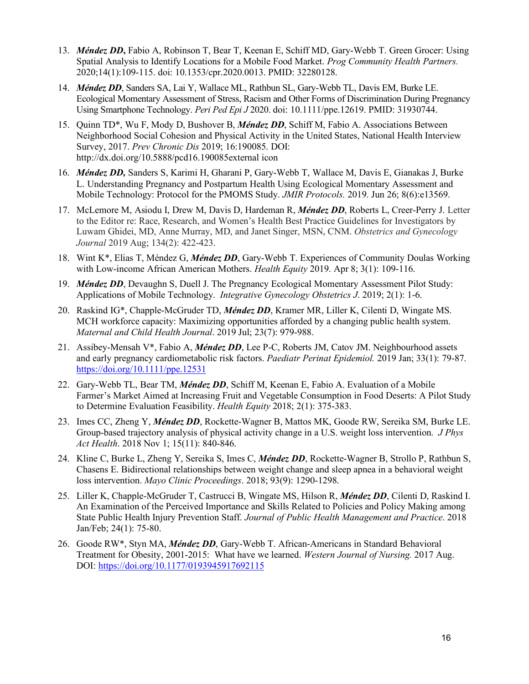- 13. *Méndez DD***,** Fabio A, Robinson T, Bear T, Keenan E, Schiff MD, Gary-Webb T. Green Grocer: Using Spatial Analysis to Identify Locations for a Mobile Food Market. *Prog Community Health Partners.* 2020;14(1):109-115. doi: 10.1353/cpr.2020.0013. PMID: 32280128.
- 14. *Méndez DD*, Sanders SA, Lai Y, Wallace ML, Rathbun SL, Gary-Webb TL, Davis EM, Burke LE. Ecological Momentary Assessment of Stress, Racism and Other Forms of Discrimination During Pregnancy Using Smartphone Technology. *Peri Ped Epi J* 2020. doi: 10.1111/ppe.12619. PMID: 31930744.
- 15. Quinn TD\*, Wu F, Mody D, Bushover B, *Méndez DD*, Schiff M, Fabio A. Associations Between Neighborhood Social Cohesion and Physical Activity in the United States, National Health Interview Survey, 2017. *Prev Chronic Dis* 2019; 16:190085. DOI: http://dx.doi.org/10.5888/pcd16.190085external icon
- 16. *Méndez DD,* Sanders S, Karimi H, Gharani P, Gary-Webb T, Wallace M, Davis E, Gianakas J, Burke L. Understanding Pregnancy and Postpartum Health Using Ecological Momentary Assessment and Mobile Technology: Protocol for the PMOMS Study. *JMIR Protocols.* 2019. Jun 26; 8(6):e13569.
- 17. McLemore M, Asiodu I, Drew M, Davis D, Hardeman R, *Méndez DD*, Roberts L, Creer-Perry J. Letter to the Editor re: Race, Research, and Women's Health Best Practice Guidelines for Investigators by Luwam Ghidei, MD, Anne Murray, MD, and Janet Singer, MSN, CNM. *Obstetrics and Gynecology Journal* 2019 Aug; 134(2): 422-423.
- 18. Wint K\*, Elias T, Méndez G, *Méndez DD*, Gary-Webb T. Experiences of Community Doulas Working with Low-income African American Mothers. *Health Equity* 2019. Apr 8; 3(1): 109-116.
- 19. *Méndez DD*, Devaughn S, Duell J. The Pregnancy Ecological Momentary Assessment Pilot Study: Applications of Mobile Technology. *Integrative Gynecology Obstetrics J*. 2019; 2(1): 1-6.
- 20. Raskind IG\*, Chapple-McGruder TD, *Méndez DD*, Kramer MR, Liller K, Cilenti D, Wingate MS. MCH workforce capacity: Maximizing opportunities afforded by a changing public health system. *Maternal and Child Health Journal*. 2019 Jul; 23(7): 979-988.
- 21. Assibey-Mensah V\*, Fabio A, *Méndez DD*, Lee P‐C, Roberts JM, Catov JM. Neighbourhood assets and early pregnancy cardiometabolic risk factors. *Paediatr Perinat Epidemiol.* 2019 Jan; 33(1): 79-87. <https://doi.org/10.1111/ppe.12531>
- 22. Gary-Webb TL, Bear TM, *Méndez DD*, Schiff M, Keenan E, Fabio A. Evaluation of a Mobile Farmer's Market Aimed at Increasing Fruit and Vegetable Consumption in Food Deserts: A Pilot Study to Determine Evaluation Feasibility. *Health Equity* 2018; 2(1): 375-383.
- 23. Imes CC, Zheng Y, *Méndez DD*, Rockette-Wagner B, Mattos MK, Goode RW, Sereika SM, Burke LE. Group-based trajectory analysis of physical activity change in a U.S. weight loss intervention. *J Phys Act Health*. 2018 Nov 1; 15(11): 840-846.
- 24. Kline C, Burke L, Zheng Y, Sereika S, Imes C, *Méndez DD*, Rockette-Wagner B, Strollo P, Rathbun S, Chasens E. Bidirectional relationships between weight change and sleep apnea in a behavioral weight loss intervention. *Mayo Clinic Proceedings*. 2018; 93(9): 1290-1298.
- 25. Liller K, Chapple-McGruder T, Castrucci B, Wingate MS, Hilson R, *Méndez DD*, Cilenti D, Raskind I. An Examination of the Perceived Importance and Skills Related to Policies and Policy Making among State Public Health Injury Prevention Staff. *Journal of Public Health Management and Practice*. 2018 Jan/Feb; 24(1): 75-80.
- 26. Goode RW\*, Styn MA, *Méndez DD*, Gary-Webb T. African-Americans in Standard Behavioral Treatment for Obesity, 2001-2015: What have we learned. *Western Journal of Nursing.* 2017 Aug. DOI: <https://doi.org/10.1177/0193945917692115>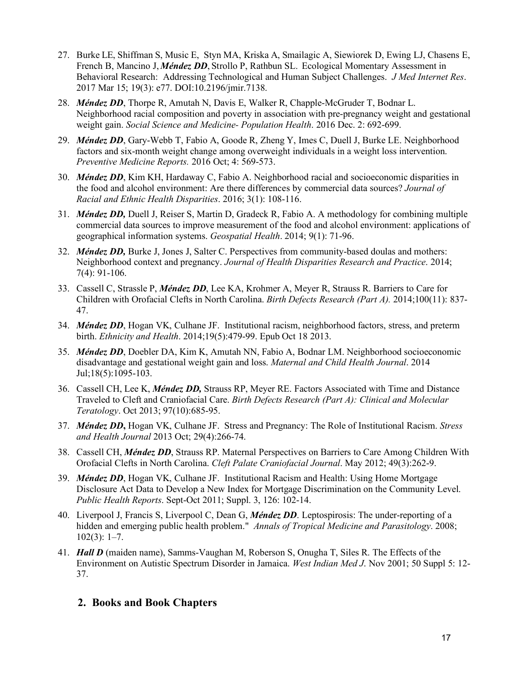- 27. Burke LE, Shiffman S, Music E, Styn MA, Kriska A, Smailagic A, Siewiorek D, Ewing LJ, Chasens E, French B, Mancino J, *Méndez DD*, Strollo P, Rathbun SL. Ecological Momentary Assessment in Behavioral Research: Addressing Technological and Human Subject Challenges. *J Med Internet Res*. 2017 Mar 15; 19(3): e77. DOI:10.2196/jmir.7138.
- 28. *Méndez DD*, Thorpe R, Amutah N, Davis E, Walker R, Chapple-McGruder T, Bodnar L. Neighborhood racial composition and poverty in association with pre-pregnancy weight and gestational weight gain. *Social Science and Medicine- Population Health*. 2016 Dec. 2: 692-699.
- 29. *Méndez DD*, Gary-Webb T, Fabio A, Goode R, Zheng Y, Imes C, Duell J, Burke LE. Neighborhood factors and six-month weight change among overweight individuals in a weight loss intervention. *Preventive Medicine Reports.* 2016 Oct; 4: 569-573.
- 30. *Méndez DD*, Kim KH, Hardaway C, Fabio A. Neighborhood racial and socioeconomic disparities in the food and alcohol environment: Are there differences by commercial data sources? *Journal of Racial and Ethnic Health Disparities*. 2016; 3(1): 108-116.
- 31. *Méndez DD,* Duell J, Reiser S, Martin D, Gradeck R, Fabio A. A methodology for combining multiple commercial data sources to improve measurement of the food and alcohol environment: applications of geographical information systems. *Geospatial Health*. 2014; 9(1): 71-96.
- 32. *Méndez DD,* Burke J, Jones J, Salter C. Perspectives from community-based doulas and mothers: Neighborhood context and pregnancy. *Journal of Health Disparities Research and Practice*. 2014; 7(4): 91-106.
- 33. Cassell C, Strassle P, *Méndez DD*, Lee KA, Krohmer A, Meyer R, Strauss R. Barriers to Care for Children with Orofacial Clefts in North Carolina. *Birth Defects Research (Part A).* 2014;100(11): 837- 47.
- 34. *Méndez DD*, Hogan VK, Culhane JF. Institutional racism, neighborhood factors, stress, and preterm birth. *Ethnicity and Health*. 2014;19(5):479-99. Epub Oct 18 2013.
- 35. *Méndez DD*, Doebler DA, Kim K, Amutah NN, Fabio A, Bodnar LM. Neighborhood socioeconomic disadvantage and gestational weight gain and loss. *Maternal and Child Health Journal*. 2014 Jul;18(5):1095-103.
- 36. Cassell CH, Lee K, *Méndez DD,* Strauss RP, Meyer RE. Factors Associated with Time and Distance Traveled to Cleft and Craniofacial Care. *Birth Defects Research (Part A): Clinical and Molecular Teratology*. Oct 2013; 97(10):685-95.
- 37. *Méndez DD***,** Hogan VK, Culhane JF. Stress and Pregnancy: The Role of Institutional Racism. *Stress and Health Journal* 2013 Oct; 29(4):266-74.
- 38. Cassell CH, *Méndez DD*, Strauss RP. Maternal Perspectives on Barriers to Care Among Children With Orofacial Clefts in North Carolina. *Cleft Palate Craniofacial Journal*. May 2012; 49(3):262-9.
- 39. *Méndez DD*, Hogan VK, Culhane JF. Institutional Racism and Health: Using Home Mortgage Disclosure Act Data to Develop a New Index for Mortgage Discrimination on the Community Level. *Public Health Reports*. Sept-Oct 2011; Suppl. 3, 126: 102-14.
- 40. Liverpool J, Francis S, Liverpool C, Dean G, *Méndez DD*. Leptospirosis: The under-reporting of a hidden and emerging public health problem." *Annals of Tropical Medicine and Parasitology*. 2008;  $102(3): 1-7.$
- 41. *Hall D* (maiden name), Samms-Vaughan M, Roberson S, Onugha T, Siles R. The Effects of the Environment on Autistic Spectrum Disorder in Jamaica. *West Indian Med J*. Nov 2001; 50 Suppl 5: 12- 37.

#### **2. Books and Book Chapters**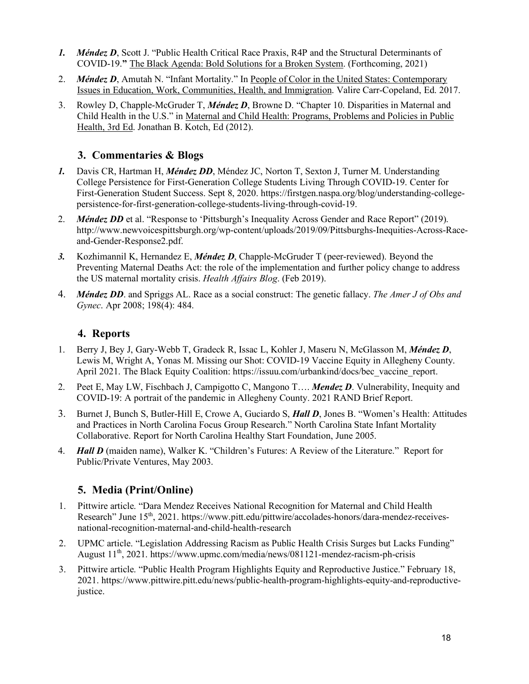- *1. Méndez D*, Scott J. "Public Health Critical Race Praxis, R4P and the Structural Determinants of COVID-19.**"** The Black Agenda: Bold Solutions for a Broken System. (Forthcoming, 2021)
- 2. *Méndez D*, Amutah N. "Infant Mortality." In People of Color in the United States: Contemporary Issues in Education, Work, Communities, Health, and Immigration. Valire Carr-Copeland, Ed. 2017.
- 3. Rowley D, Chapple-McGruder T, *Méndez D*, Browne D. "Chapter 10. Disparities in Maternal and Child Health in the U.S." in Maternal and Child Health: Programs, Problems and Policies in Public Health, 3rd Ed. Jonathan B. Kotch, Ed (2012).

### **3. Commentaries & Blogs**

- *1.* Davis CR, Hartman H, *Méndez DD*, Méndez JC, Norton T, Sexton J, Turner M. Understanding College Persistence for First-Generation College Students Living Through COVID-19. Center for First-Generation Student Success. Sept 8, 2020. https://firstgen.naspa.org/blog/understanding-collegepersistence-for-first-generation-college-students-living-through-covid-19.
- 2. *Méndez DD* et al. "Response to 'Pittsburgh's Inequality Across Gender and Race Report" (2019). http://www.newvoicespittsburgh.org/wp-content/uploads/2019/09/Pittsburghs-Inequities-Across-Raceand-Gender-Response2.pdf.
- *3.* Kozhimannil K, Hernandez E, *Méndez D*, Chapple-McGruder T (peer-reviewed). Beyond the Preventing Maternal Deaths Act: the role of the implementation and further policy change to address the US maternal mortality crisis. *Health Affairs Blog*. (Feb 2019).
- 4. *Méndez DD*. and Spriggs AL. Race as a social construct: The genetic fallacy. *The Amer J of Obs and Gynec*. Apr 2008; 198(4): 484.

### **4. Reports**

- 1. Berry J, Bey J, Gary-Webb T, Gradeck R, Issac L, Kohler J, Maseru N, McGlasson M, *Méndez D*, Lewis M, Wright A, Yonas M. Missing our Shot: COVID-19 Vaccine Equity in Allegheny County. April 2021. The Black Equity Coalition: https://issuu.com/urbankind/docs/bec\_vaccine\_report.
- 2. Peet E, May LW, Fischbach J, Campigotto C, Mangono T…. *Mendez D*. Vulnerability, Inequity and COVID-19: A portrait of the pandemic in Allegheny County. 2021 RAND Brief Report.
- 3. Burnet J, Bunch S, Butler-Hill E, Crowe A, Guciardo S, *Hall D*, Jones B. "Women's Health: Attitudes and Practices in North Carolina Focus Group Research." North Carolina State Infant Mortality Collaborative. Report for North Carolina Healthy Start Foundation, June 2005.
- 4. *Hall D* (maiden name), Walker K. "Children's Futures: A Review of the Literature." Report for Public/Private Ventures, May 2003.

### **5. Media (Print/Online)**

- 1. Pittwire article. "Dara Mendez Receives National Recognition for Maternal and Child Health Research" June 15th, 2021. https://www.pitt.edu/pittwire/accolades-honors/dara-mendez-receivesnational-recognition-maternal-and-child-health-research
- 2. UPMC article. "Legislation Addressing Racism as Public Health Crisis Surges but Lacks Funding" August  $11^{th}$ , 2021. https://www.upmc.com/media/news/081121-mendez-racism-ph-crisis
- 3. Pittwire article. "Public Health Program Highlights Equity and Reproductive Justice." February 18, 2021. https://www.pittwire.pitt.edu/news/public-health-program-highlights-equity-and-reproductivejustice.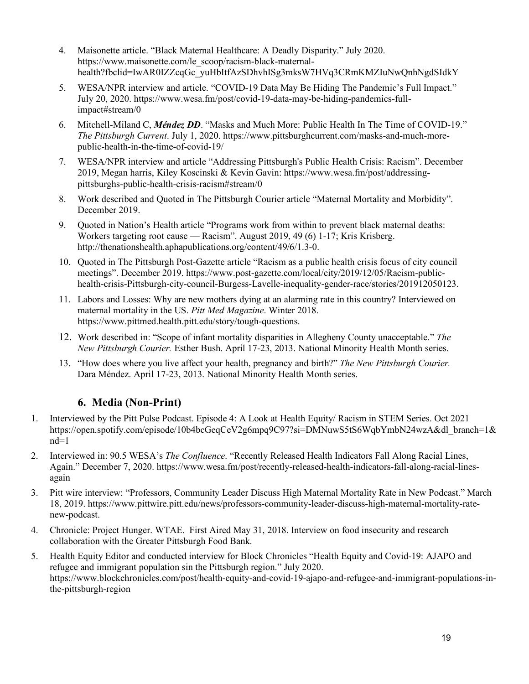- 4. Maisonette article. "Black Maternal Healthcare: A Deadly Disparity." July 2020. https://www.maisonette.com/le\_scoop/racism-black-maternalhealth?fbclid=IwAR0IZZcqGc\_yuHbItfAzSDhvhISg3mksW7HVq3CRmKMZIuNwQnhNgdSIdkY
- 5. WESA/NPR interview and article. "COVID-19 Data May Be Hiding The Pandemic's Full Impact." July 20, 2020. https://www.wesa.fm/post/covid-19-data-may-be-hiding-pandemics-fullimpact#stream/0
- 6. Mitchell-Miland C, *Méndez DD*. "Masks and Much More: Public Health In The Time of COVID-19." *The Pittsburgh Current*. July 1, 2020. https://www.pittsburghcurrent.com/masks-and-much-morepublic-health-in-the-time-of-covid-19/
- 7. WESA/NPR interview and article "Addressing Pittsburgh's Public Health Crisis: Racism". December 2019, Megan harris, Kiley Koscinski & Kevin Gavin: https://www.wesa.fm/post/addressingpittsburghs-public-health-crisis-racism#stream/0
- 8. Work described and Quoted in The Pittsburgh Courier article "Maternal Mortality and Morbidity". December 2019.
- 9. Quoted in Nation's Health article "Programs work from within to prevent black maternal deaths: Workers targeting root cause — Racism". August 2019, 49 (6) 1-17; Kris Krisberg. http://thenationshealth.aphapublications.org/content/49/6/1.3-0.
- 10. Quoted in The Pittsburgh Post-Gazette article "Racism as a public health crisis focus of city council meetings". December 2019. https://www.post-gazette.com/local/city/2019/12/05/Racism-publichealth-crisis-Pittsburgh-city-council-Burgess-Lavelle-inequality-gender-race/stories/201912050123.
- 11. Labors and Losses: Why are new mothers dying at an alarming rate in this country? Interviewed on maternal mortality in the US. *Pitt Med Magazine*. Winter 2018. https://www.pittmed.health.pitt.edu/story/tough-questions.
- 12. Work described in: "Scope of infant mortality disparities in Allegheny County unacceptable." *The New Pittsburgh Courier.* Esther Bush. April 17-23, 2013. National Minority Health Month series.
- 13. "How does where you live affect your health, pregnancy and birth?" *The New Pittsburgh Courier.* Dara Méndez. April 17-23, 2013. National Minority Health Month series.

### **6. Media (Non-Print)**

- 1. Interviewed by the Pitt Pulse Podcast. Episode 4: A Look at Health Equity/ Racism in STEM Series. Oct 2021 https://open.spotify.com/episode/10b4bcGeqCeV2g6mpq9C97?si=DMNuwS5tS6WqbYmbN24wzA&dl\_branch=1&  $nd=1$
- 2. Interviewed in: 90.5 WESA's *The Confluence*. "Recently Released Health Indicators Fall Along Racial Lines, Again." December 7, 2020. https://www.wesa.fm/post/recently-released-health-indicators-fall-along-racial-linesagain
- 3. Pitt wire interview: "Professors, Community Leader Discuss High Maternal Mortality Rate in New Podcast." March 18, 2019. https://www.pittwire.pitt.edu/news/professors-community-leader-discuss-high-maternal-mortality-ratenew-podcast.
- 4. Chronicle: Project Hunger. WTAE. First Aired May 31, 2018. Interview on food insecurity and research collaboration with the Greater Pittsburgh Food Bank.
- 5. Health Equity Editor and conducted interview for Block Chronicles "Health Equity and Covid-19: AJAPO and refugee and immigrant population sin the Pittsburgh region." July 2020. https://www.blockchronicles.com/post/health-equity-and-covid-19-ajapo-and-refugee-and-immigrant-populations-inthe-pittsburgh-region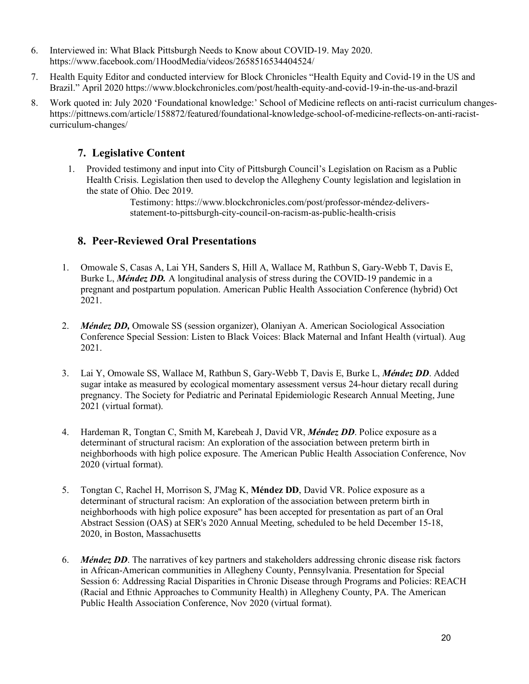- 6. Interviewed in: What Black Pittsburgh Needs to Know about COVID-19. May 2020. https://www.facebook.com/1HoodMedia/videos/2658516534404524/
- 7. Health Equity Editor and conducted interview for Block Chronicles "Health Equity and Covid-19 in the US and Brazil." April 2020 https://www.blockchronicles.com/post/health-equity-and-covid-19-in-the-us-and-brazil
- 8. Work quoted in: July 2020 'Foundational knowledge:' School of Medicine reflects on anti-racist curriculum changeshttps://pittnews.com/article/158872/featured/foundational-knowledge-school-of-medicine-reflects-on-anti-racistcurriculum-changes/

### **7. Legislative Content**

1. Provided testimony and input into City of Pittsburgh Council's Legislation on Racism as a Public Health Crisis. Legislation then used to develop the Allegheny County legislation and legislation in the state of Ohio. Dec 2019.

> Testimony: https://www.blockchronicles.com/post/professor-méndez-deliversstatement-to-pittsburgh-city-council-on-racism-as-public-health-crisis

### **8. Peer-Reviewed Oral Presentations**

- 1. Omowale S, Casas A, Lai YH, Sanders S, Hill A, Wallace M, Rathbun S, Gary-Webb T, Davis E, Burke L, *Méndez DD.* A longitudinal analysis of stress during the COVID-19 pandemic in a pregnant and postpartum population. American Public Health Association Conference (hybrid) Oct 2021.
- 2. *Méndez DD,* Omowale SS (session organizer), Olaniyan A. American Sociological Association Conference Special Session: Listen to Black Voices: Black Maternal and Infant Health (virtual). Aug 2021.
- 3. Lai Y, Omowale SS, Wallace M, Rathbun S, Gary-Webb T, Davis E, Burke L, *Méndez DD*. Added sugar intake as measured by ecological momentary assessment versus 24-hour dietary recall during pregnancy. The Society for Pediatric and Perinatal Epidemiologic Research Annual Meeting, June 2021 (virtual format).
- 4. Hardeman R, Tongtan C, Smith M, Karebeah J, David VR, *Méndez DD*. Police exposure as a determinant of structural racism: An exploration of the association between preterm birth in neighborhoods with high police exposure. The American Public Health Association Conference, Nov 2020 (virtual format).
- 5. Tongtan C, Rachel H, Morrison S, J'Mag K, **Méndez DD**, David VR. Police exposure as a determinant of structural racism: An exploration of the association between preterm birth in neighborhoods with high police exposure" has been accepted for presentation as part of an Oral Abstract Session (OAS) at SER's 2020 Annual Meeting, scheduled to be held December 15-18, 2020, in Boston, Massachusetts
- 6. *Méndez DD*. The narratives of key partners and stakeholders addressing chronic disease risk factors in African-American communities in Allegheny County, Pennsylvania. Presentation for Special Session 6: Addressing Racial Disparities in Chronic Disease through Programs and Policies: REACH (Racial and Ethnic Approaches to Community Health) in Allegheny County, PA. The American Public Health Association Conference, Nov 2020 (virtual format).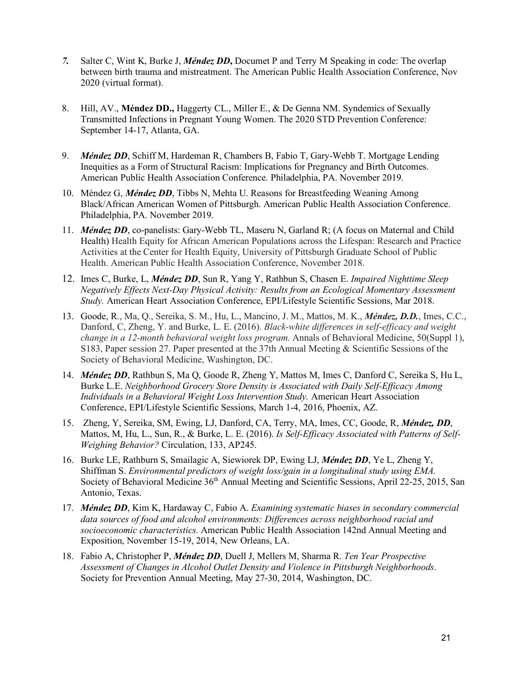- *7.* Salter C, Wint K, Burke J, *Méndez DD***,** Documet P and Terry M Speaking in code: The overlap between birth trauma and mistreatment. The American Public Health Association Conference, Nov 2020 (virtual format).
- 8. Hill, AV., **Méndez DD.,** Haggerty CL., Miller E., & De Genna NM. Syndemics of Sexually Transmitted Infections in Pregnant Young Women. The 2020 STD Prevention Conference: September 14-17, Atlanta, GA.
- 9. *Méndez DD*, Schiff M, Hardeman R, Chambers B, Fabio T, Gary-Webb T. Mortgage Lending Inequities as a Form of Structural Racism: Implications for Pregnancy and Birth Outcomes. American Public Health Association Conference. Philadelphia, PA. November 2019.
- 10. Méndez G, *Méndez DD*, Tibbs N, Mehta U. Reasons for Breastfeeding Weaning Among Black/African American Women of Pittsburgh. American Public Health Association Conference. Philadelphia, PA. November 2019.
- 11. *Méndez DD*, co-panelists: Gary-Webb TL, Maseru N, Garland R; (A focus on Maternal and Child Health) Health Equity for African American Populations across the Lifespan: Research and Practice Activities at the Center for Health Equity, University of Pittsburgh Graduate School of Public Health. American Public Health Association Conference, November 2018.
- 12. Imes C, Burke, L, *Méndez DD*, Sun R, Yang Y, Rathbun S, Chasen E. *Impaired Nighttime Sleep Negatively Effects Next-Day Physical Activity: Results from an Ecological Momentary Assessment Study.* American Heart Association Conference, EPI/Lifestyle Scientific Sessions, Mar 2018.
- 13. Goode, R., Ma, Q., Sereika, S. M., Hu, L., Mancino, J. M., Mattos, M. K., *Méndez, D.D.*, Imes, C.C., Danford, C, Zheng, Y. and Burke, L. E. (2016). *Black-white differences in self-efficacy and weight change in a 12-month behavioral weight loss program.* Annals of Behavioral Medicine, 50(Suppl 1), S183, Paper session 27. Paper presented at the 37th Annual Meeting & Scientific Sessions of the Society of Behavioral Medicine, Washington, DC.
- 14. *Méndez DD*, Rathbun S, Ma Q, Goode R, Zheng Y, Mattos M, Imes C, Danford C, Sereika S, Hu L, Burke L.E. *Neighborhood Grocery Store Density is Associated with Daily Self-Efficacy Among Individuals in a Behavioral Weight Loss Intervention Study.* American Heart Association Conference, EPI/Lifestyle Scientific Sessions, March 1-4, 2016, Phoenix, AZ.
- 15. Zheng, Y, Sereika, SM, Ewing, LJ, Danford, CA, Terry, MA, Imes, CC, Goode, R, *Méndez, DD*, Mattos, M, Hu, L., Sun, R., & Burke, L. E. (2016). *Is Self-Efficacy Associated with Patterns of Self-Weighing Behavior?* Circulation, 133, AP245.
- 16. Burke LE, Rathburn S, Smailagic A, Siewiorek DP, Ewing LJ, *Méndez DD*, Ye L, Zheng Y, Shiffman S. *Environmental predictors of weight loss/gain in a longitudinal study using EMA.* Society of Behavioral Medicine 36<sup>th</sup> Annual Meeting and Scientific Sessions, April 22-25, 2015, San Antonio, Texas.
- 17. *Méndez DD*, Kim K, Hardaway C, Fabio A. *Examining systematic biases in secondary commercial data sources of food and alcohol environments: Differences across neighborhood racial and socioeconomic characteristics.* American Public Health Association 142nd Annual Meeting and Exposition, November 15-19, 2014, New Orleans, LA.
- 18. Fabio A, Christopher P, *Méndez DD*, Duell J, Mellers M, Sharma R. *Ten Year Prospective Assessment of Changes in Alcohol Outlet Density and Violence in Pittsburgh Neighborhoods*. Society for Prevention Annual Meeting, May 27-30, 2014, Washington, DC.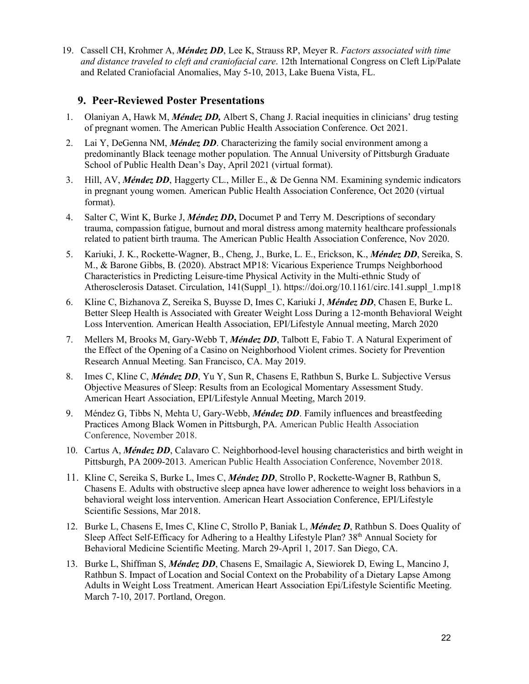19. Cassell CH, Krohmer A, *Méndez DD*, Lee K, Strauss RP, Meyer R. *Factors associated with time and distance traveled to cleft and craniofacial care*. 12th International Congress on Cleft Lip/Palate and Related Craniofacial Anomalies, May 5-10, 2013, Lake Buena Vista, FL.

#### **9. Peer-Reviewed Poster Presentations**

- 1. Olaniyan A, Hawk M, *Méndez DD,* Albert S, Chang J. Racial inequities in clinicians' drug testing of pregnant women. The American Public Health Association Conference. Oct 2021.
- 2. Lai Y, DeGenna NM, *Méndez DD*. Characterizing the family social environment among a predominantly Black teenage mother population. The Annual University of Pittsburgh Graduate School of Public Health Dean's Day, April 2021 (virtual format).
- 3. Hill, AV, *Méndez DD*, Haggerty CL., Miller E., & De Genna NM. Examining syndemic indicators in pregnant young women. American Public Health Association Conference, Oct 2020 (virtual format).
- 4. Salter C, Wint K, Burke J, *Méndez DD***,** Documet P and Terry M. Descriptions of secondary trauma, compassion fatigue, burnout and moral distress among maternity healthcare professionals related to patient birth trauma. The American Public Health Association Conference, Nov 2020.
- 5. Kariuki, J. K., Rockette-Wagner, B., Cheng, J., Burke, L. E., Erickson, K., *Méndez DD*, Sereika, S. M., & Barone Gibbs, B. (2020). Abstract MP18: Vicarious Experience Trumps Neighborhood Characteristics in Predicting Leisure-time Physical Activity in the Multi-ethnic Study of Atherosclerosis Dataset. Circulation, 141(Suppl\_1). https://doi.org/10.1161/circ.141.suppl\_1.mp18
- 6. Kline C, Bizhanova Z, Sereika S, Buysse D, Imes C, Kariuki J, *Méndez DD*, Chasen E, Burke L. Better Sleep Health is Associated with Greater Weight Loss During a 12-month Behavioral Weight Loss Intervention. American Health Association, EPI/Lifestyle Annual meeting, March 2020
- 7. Mellers M, Brooks M, Gary-Webb T, *Méndez DD*, Talbott E, Fabio T. A Natural Experiment of the Effect of the Opening of a Casino on Neighborhood Violent crimes. Society for Prevention Research Annual Meeting. San Francisco, CA. May 2019.
- 8. Imes C, Kline C, *Méndez DD*, Yu Y, Sun R, Chasens E, Rathbun S, Burke L. Subjective Versus Objective Measures of Sleep: Results from an Ecological Momentary Assessment Study. American Heart Association, EPI/Lifestyle Annual Meeting, March 2019.
- 9. Méndez G, Tibbs N, Mehta U, Gary-Webb, *Méndez DD*. Family influences and breastfeeding Practices Among Black Women in Pittsburgh, PA. American Public Health Association Conference, November 2018.
- 10. Cartus A, *Méndez DD*, Calavaro C. Neighborhood-level housing characteristics and birth weight in Pittsburgh, PA 2009-2013. American Public Health Association Conference, November 2018.
- 11. Kline C, Sereika S, Burke L, Imes C, *Méndez DD*, Strollo P, Rockette-Wagner B, Rathbun S, Chasens E. Adults with obstructive sleep apnea have lower adherence to weight loss behaviors in a behavioral weight loss intervention. American Heart Association Conference, EPI/Lifestyle Scientific Sessions, Mar 2018.
- 12. Burke L, Chasens E, Imes C, Kline C, Strollo P, Baniak L, *Méndez D*, Rathbun S. Does Quality of Sleep Affect Self-Efficacy for Adhering to a Healthy Lifestyle Plan? 38<sup>th</sup> Annual Society for Behavioral Medicine Scientific Meeting. March 29-April 1, 2017. San Diego, CA.
- 13. Burke L, Shiffman S, *Méndez DD*, Chasens E, Smailagic A, Siewiorek D, Ewing L, Mancino J, Rathbun S. Impact of Location and Social Context on the Probability of a Dietary Lapse Among Adults in Weight Loss Treatment. American Heart Association Epi/Lifestyle Scientific Meeting. March 7-10, 2017. Portland, Oregon.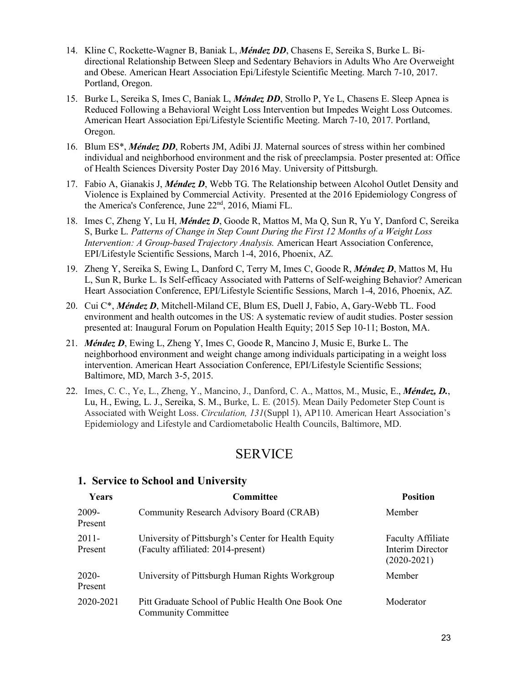- 14. Kline C, Rockette-Wagner B, Baniak L, *Méndez DD*, Chasens E, Sereika S, Burke L. Bidirectional Relationship Between Sleep and Sedentary Behaviors in Adults Who Are Overweight and Obese. American Heart Association Epi/Lifestyle Scientific Meeting. March 7-10, 2017. Portland, Oregon.
- 15. Burke L, Sereika S, Imes C, Baniak L, *Méndez DD*, Strollo P, Ye L, Chasens E. Sleep Apnea is Reduced Following a Behavioral Weight Loss Intervention but Impedes Weight Loss Outcomes. American Heart Association Epi/Lifestyle Scientific Meeting. March 7-10, 2017. Portland, Oregon.
- 16. Blum ES\*, *Méndez DD*, Roberts JM, Adibi JJ. Maternal sources of stress within her combined individual and neighborhood environment and the risk of preeclampsia. Poster presented at: Office of Health Sciences Diversity Poster Day 2016 May. University of Pittsburgh.
- 17. Fabio A, Gianakis J, *Méndez D*, Webb TG. The Relationship between Alcohol Outlet Density and Violence is Explained by Commercial Activity. Presented at the 2016 Epidemiology Congress of the America's Conference, June 22nd, 2016, Miami FL.
- 18. Imes C, Zheng Y, Lu H, *Méndez D*, Goode R, Mattos M, Ma Q, Sun R, Yu Y, Danford C, Sereika S, Burke L. *Patterns of Change in Step Count During the First 12 Months of a Weight Loss Intervention: A Group-based Trajectory Analysis.* American Heart Association Conference, EPI/Lifestyle Scientific Sessions, March 1-4, 2016, Phoenix, AZ.
- 19. Zheng Y, Sereika S, Ewing L, Danford C, Terry M, Imes C, Goode R, *Méndez D*, Mattos M, Hu L, Sun R, Burke L. Is Self-efficacy Associated with Patterns of Self-weighing Behavior? American Heart Association Conference, EPI/Lifestyle Scientific Sessions, March 1-4, 2016, Phoenix, AZ.
- 20. Cui C\*, *Méndez D*, Mitchell-Miland CE, Blum ES, Duell J, Fabio, A, Gary-Webb TL. Food environment and health outcomes in the US: A systematic review of audit studies. Poster session presented at: Inaugural Forum on Population Health Equity; 2015 Sep 10-11; Boston, MA.
- 21. *Méndez D*, Ewing L, Zheng Y, Imes C, Goode R, Mancino J, Music E, Burke L. The neighborhood environment and weight change among individuals participating in a weight loss intervention. American Heart Association Conference, EPI/Lifestyle Scientific Sessions; Baltimore, MD, March 3-5, 2015.
- 22. Imes, C. C., Ye, L., Zheng, Y., Mancino, J., Danford, C. A., Mattos, M., Music, E., *Méndez, D.*, Lu, H., Ewing, L. J., Sereika, S. M., Burke, L. E. (2015). Mean Daily Pedometer Step Count is Associated with Weight Loss. *Circulation, 131*(Suppl 1), AP110. American Heart Association's Epidemiology and Lifestyle and Cardiometabolic Health Councils, Baltimore, MD.

### SERVICE

#### **1. Service to School and University**

| <b>Years</b>     | Committee                                                                                 | <b>Position</b>                                               |
|------------------|-------------------------------------------------------------------------------------------|---------------------------------------------------------------|
| 2009-<br>Present | Community Research Advisory Board (CRAB)                                                  | Member                                                        |
| 2011-<br>Present | University of Pittsburgh's Center for Health Equity<br>(Faculty affiliated: 2014-present) | <b>Faculty Affiliate</b><br>Interim Director<br>$(2020-2021)$ |
| 2020-<br>Present | University of Pittsburgh Human Rights Workgroup                                           | Member                                                        |
| 2020-2021        | Pitt Graduate School of Public Health One Book One<br><b>Community Committee</b>          | Moderator                                                     |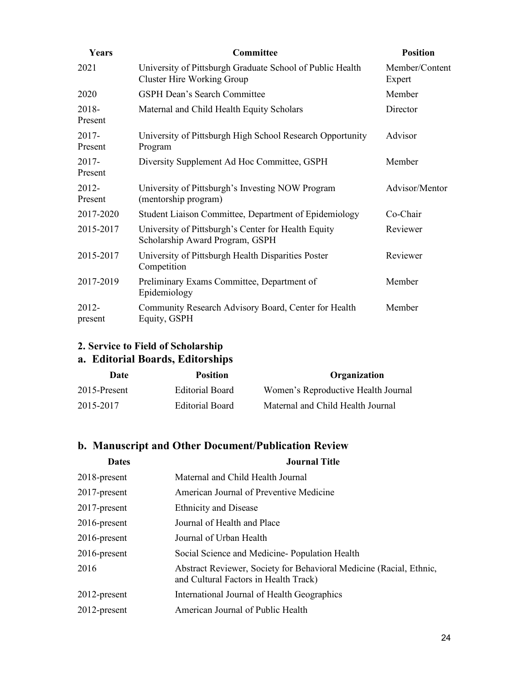| Years               | Committee                                                                                      | <b>Position</b>          |
|---------------------|------------------------------------------------------------------------------------------------|--------------------------|
| 2021                | University of Pittsburgh Graduate School of Public Health<br><b>Cluster Hire Working Group</b> | Member/Content<br>Expert |
| 2020                | <b>GSPH Dean's Search Committee</b>                                                            | Member                   |
| 2018-<br>Present    | Maternal and Child Health Equity Scholars                                                      | Director                 |
| $2017 -$<br>Present | University of Pittsburgh High School Research Opportunity<br>Program                           | Advisor                  |
| $2017 -$<br>Present | Diversity Supplement Ad Hoc Committee, GSPH                                                    | Member                   |
| 2012-<br>Present    | University of Pittsburgh's Investing NOW Program<br>(mentorship program)                       | Advisor/Mentor           |
| 2017-2020           | Student Liaison Committee, Department of Epidemiology                                          | Co-Chair                 |
| 2015-2017           | University of Pittsburgh's Center for Health Equity<br>Scholarship Award Program, GSPH         | Reviewer                 |
| 2015-2017           | University of Pittsburgh Health Disparities Poster<br>Competition                              | Reviewer                 |
| 2017-2019           | Preliminary Exams Committee, Department of<br>Epidemiology                                     | Member                   |
| $2012 -$<br>present | Community Research Advisory Board, Center for Health<br>Equity, GSPH                           | Member                   |

## **2. Service to Field of Scholarship**

## **a. Editorial Boards, Editorships**

| Date         | <b>Position</b> | Organization                        |
|--------------|-----------------|-------------------------------------|
| 2015-Present | Editorial Board | Women's Reproductive Health Journal |
| 2015-2017    | Editorial Board | Maternal and Child Health Journal   |

### **b. Manuscript and Other Document/Publication Review**

| <b>Dates</b>    | <b>Journal Title</b>                                                                                         |
|-----------------|--------------------------------------------------------------------------------------------------------------|
| $2018$ -present | Maternal and Child Health Journal                                                                            |
| $2017$ -present | American Journal of Preventive Medicine                                                                      |
| $2017$ -present | <b>Ethnicity and Disease</b>                                                                                 |
| $2016$ -present | Journal of Health and Place                                                                                  |
| $2016$ -present | Journal of Urban Health                                                                                      |
| $2016$ -present | Social Science and Medicine-Population Health                                                                |
| 2016            | Abstract Reviewer, Society for Behavioral Medicine (Racial, Ethnic,<br>and Cultural Factors in Health Track) |
| $2012$ -present | International Journal of Health Geographics                                                                  |
| $2012$ -present | American Journal of Public Health                                                                            |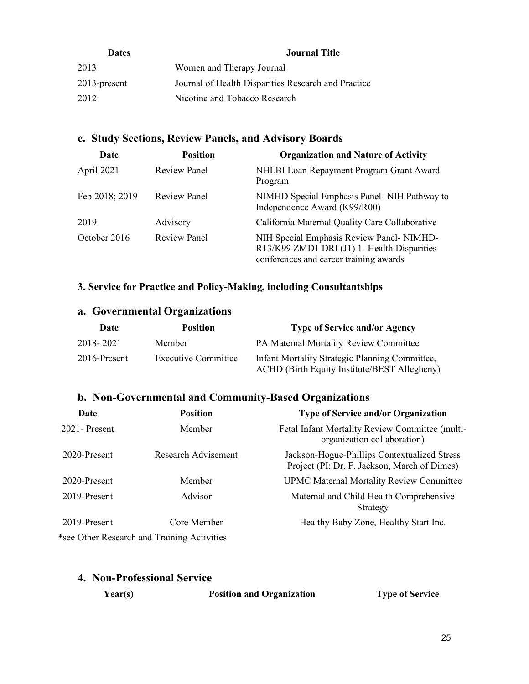| <b>Dates</b>    | <b>Journal Title</b>                                |
|-----------------|-----------------------------------------------------|
| 2013            | Women and Therapy Journal                           |
| $2013$ -present | Journal of Health Disparities Research and Practice |
| 2012            | Nicotine and Tobacco Research                       |

### **c. Study Sections, Review Panels, and Advisory Boards**

| Date           | <b>Position</b>     | <b>Organization and Nature of Activity</b>                                                                                        |
|----------------|---------------------|-----------------------------------------------------------------------------------------------------------------------------------|
| April 2021     | <b>Review Panel</b> | NHLBI Loan Repayment Program Grant Award<br>Program                                                                               |
| Feb 2018; 2019 | <b>Review Panel</b> | NIMHD Special Emphasis Panel-NIH Pathway to<br>Independence Award (K99/R00)                                                       |
| 2019           | Advisory            | California Maternal Quality Care Collaborative                                                                                    |
| October 2016   | <b>Review Panel</b> | NIH Special Emphasis Review Panel-NIMHD-<br>R13/K99 ZMD1 DRI (J1) 1- Health Disparities<br>conferences and career training awards |

### **3. Service for Practice and Policy-Making, including Consultantships**

### **a. Governmental Organizations**

| Date         | <b>Position</b>     | <b>Type of Service and/or Agency</b>                                                           |
|--------------|---------------------|------------------------------------------------------------------------------------------------|
| 2018-2021    | Member              | PA Maternal Mortality Review Committee                                                         |
| 2016-Present | Executive Committee | Infant Mortality Strategic Planning Committee,<br>ACHD (Birth Equity Institute/BEST Allegheny) |

### **b. Non-Governmental and Community-Based Organizations**

| Date            | <b>Position</b>                             | <b>Type of Service and/or Organization</b>                                                   |
|-----------------|---------------------------------------------|----------------------------------------------------------------------------------------------|
| $2021$ -Present | Member                                      | Fetal Infant Mortality Review Committee (multi-<br>organization collaboration)               |
| 2020-Present    | Research Advisement                         | Jackson-Hogue-Phillips Contextualized Stress<br>Project (PI: Dr. F. Jackson, March of Dimes) |
| 2020-Present    | Member                                      | <b>UPMC Maternal Mortality Review Committee</b>                                              |
| 2019-Present    | Advisor                                     | Maternal and Child Health Comprehensive<br>Strategy                                          |
| 2019-Present    | Core Member                                 | Healthy Baby Zone, Healthy Start Inc.                                                        |
|                 | *see Other Research and Training Activities |                                                                                              |

| 4. Non-Professional Service |  |  |  |
|-----------------------------|--|--|--|
|                             |  |  |  |